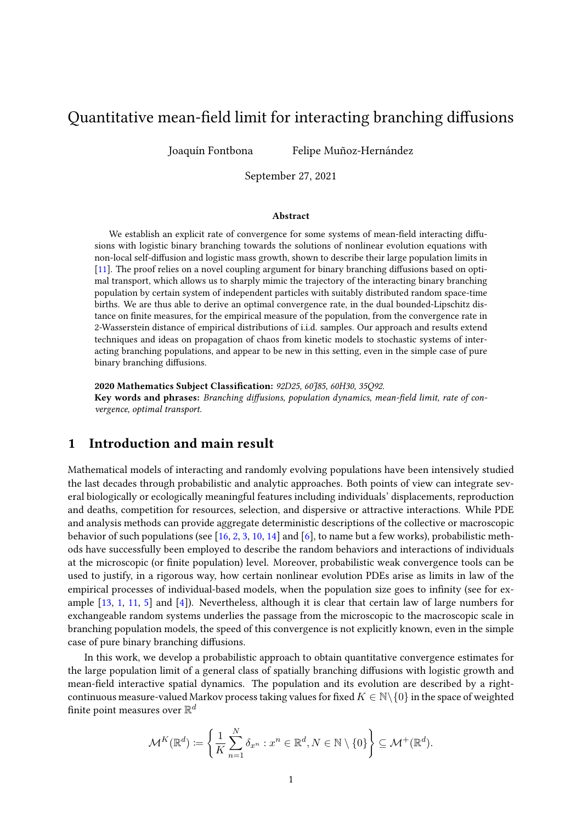# Quantitative mean-field limit for interacting branching diffusions

Joaquín Fontbona Felipe Muñoz-Hernández

September 27, 2021

#### Abstract

We establish an explicit rate of convergence for some systems of mean-field interacting diffusions with logistic binary branching towards the solutions of nonlinear evolution equations with non-local self-diffusion and logistic mass growth, shown to describe their large population limits in [\[11\]](#page-29-0). The proof relies on a novel coupling argument for binary branching diffusions based on optimal transport, which allows us to sharply mimic the trajectory of the interacting binary branching population by certain system of independent particles with suitably distributed random space-time births. We are thus able to derive an optimal convergence rate, in the dual bounded-Lipschitz distance on finite measures, for the empirical measure of the population, from the convergence rate in 2-Wasserstein distance of empirical distributions of i.i.d. samples. Our approach and results extend techniques and ideas on propagation of chaos from kinetic models to stochastic systems of interacting branching populations, and appear to be new in this setting, even in the simple case of pure binary branching diffusions.

2020 Mathematics Subject Classification: 92D25, 60J85, 60H30, 35Q92. Key words and phrases: Branching diffusions, population dynamics, mean-field limit, rate of convergence, optimal transport.

## 1 Introduction and main result

Mathematical models of interacting and randomly evolving populations have been intensively studied the last decades through probabilistic and analytic approaches. Both points of view can integrate several biologically or ecologically meaningful features including individuals' displacements, reproduction and deaths, competition for resources, selection, and dispersive or attractive interactions. While PDE and analysis methods can provide aggregate deterministic descriptions of the collective or macroscopic behavior of such populations (see [\[16,](#page-29-1) [2,](#page-28-0) [3,](#page-28-1) [10,](#page-29-2) [14\]](#page-29-3) and [\[6\]](#page-28-2), to name but a few works), probabilistic methods have successfully been employed to describe the random behaviors and interactions of individuals at the microscopic (or nite population) level. Moreover, probabilistic weak convergence tools can be used to justify, in a rigorous way, how certain nonlinear evolution PDEs arise as limits in law of the empirical processes of individual-based models, when the population size goes to infinity (see for example [\[13,](#page-29-4) [1,](#page-28-3) [11,](#page-29-0) [5\]](#page-28-4) and [\[4\]](#page-28-5)). Nevertheless, although it is clear that certain law of large numbers for exchangeable random systems underlies the passage from the microscopic to the macroscopic scale in branching population models, the speed of this convergence is not explicitly known, even in the simple case of pure binary branching diffusions.

In this work, we develop a probabilistic approach to obtain quantitative convergence estimates for the large population limit of a general class of spatially branching diffusions with logistic growth and mean-field interactive spatial dynamics. The population and its evolution are described by a rightcontinuous measure-valued Markov process taking values for fixed  $K \in \mathbb{N} \setminus \{0\}$  in the space of weighted finite point measures over  $\mathbb{R}^d$ 

$$
\mathcal{M}^K(\mathbb{R}^d) \coloneqq \left\{ \frac{1}{K} \sum_{n=1}^N \delta_{x^n} : x^n \in \mathbb{R}^d, N \in \mathbb{N} \setminus \{0\} \right\} \subseteq \mathcal{M}^+(\mathbb{R}^d).
$$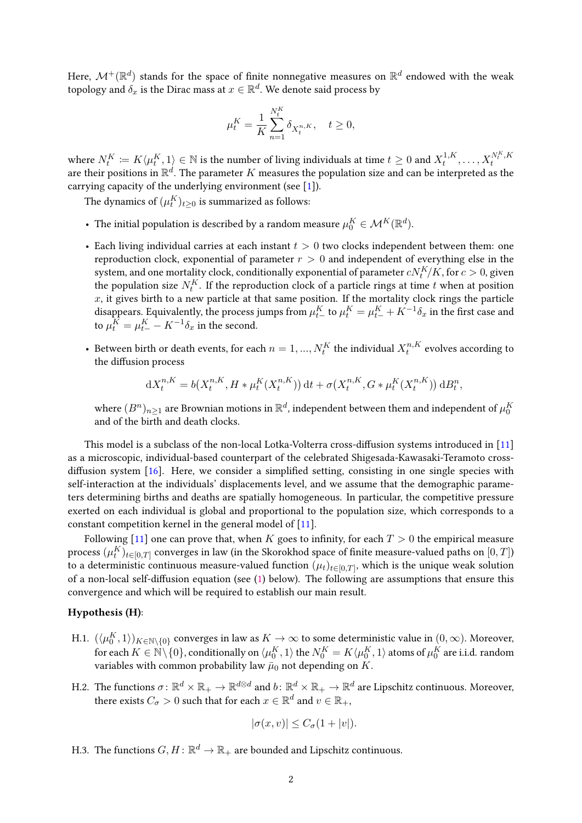Here,  $\mathcal{M}^+({\mathbb R}^d)$  stands for the space of finite nonnegative measures on  ${\mathbb R}^d$  endowed with the weak topology and  $\delta_x$  is the Dirac mass at  $x \in \mathbb{R}^d.$  We denote said process by

$$
\mu_t^K = \frac{1}{K} \sum_{n=1}^{N_t^K} \delta_{X_t^{n,K}}, \quad t \ge 0,
$$

where  $N^K_t \coloneqq K\langle \mu^K_t, 1 \rangle \in \mathbb{N}$  is the number of living individuals at time  $t \geq 0$  and  $X^{1,K}_t$  $X_t^{N_t^K, K}$ where  $N_t = N \langle \mu_t, 1 \rangle \in N$  is the humber of nying murviduals at time  $t \geq 0$  and  $\Lambda_t$ ,  $\ldots, \Lambda_t$  are their positions in  $\mathbb{R}^d$ . The parameter *K* measures the population size and can be interpreted as the carrying capacity of the underlying environment (see [\[1\]](#page-28-3)).

The dynamics of  $(\mu^K_t)_{t\geq 0}$  is summarized as follows:

- The initial population is described by a random measure  $\mu_0^K \in \mathcal{M}^K(\mathbb{R}^d)$ .
- Each living individual carries at each instant *t >* 0 two clocks independent between them: one reproduction clock, exponential of parameter *r >* 0 and independent of everything else in the system, and one mortality clock, conditionally exponential of parameter  $cN_{t}^{K}\!/ K$ , for  $c>0$ , given the population size  $N_t^K$ . If the reproduction clock of a particle rings at time  $t$  when at position  $x$ , it gives birth to a new particle at that same position. If the mortality clock rings the particle disappears. Equivalently, the process jumps from  $\mu^K_{t-}$  to  $\mu^K_t = \mu^K_t + K^{-1} \delta_x$  in the first case and to  $\mu_t^K = \mu_{t-}^K - K^{-1} \delta_x$  in the second.
- Between birth or death events, for each  $n=1,...,N_t^K$  the individual  $X_t^{n,K}$  $t^{n,K}_t$  evolves according to the diffusion process

$$
dX_t^{n,K} = b(X_t^{n,K}, H * \mu_t^K(X_t^{n,K})) dt + \sigma(X_t^{n,K}, G * \mu_t^K(X_t^{n,K})) dB_t^n,
$$

where  $(B^n)_{n\geq 1}$  are Brownian motions in  $\mathbb{R}^d$ , independent between them and independent of  $\mu_0^K$ and of the birth and death clocks.

This model is a subclass of the non-local Lotka-Volterra cross-diffusion systems introduced in  $[11]$ as a microscopic, individual-based counterpart of the celebrated Shigesada-Kawasaki-Teramoto crossdiffusion system  $[16]$ . Here, we consider a simplified setting, consisting in one single species with self-interaction at the individuals' displacements level, and we assume that the demographic parameters determining births and deaths are spatially homogeneous. In particular, the competitive pressure exerted on each individual is global and proportional to the population size, which corresponds to a constant competition kernel in the general model of [\[11\]](#page-29-0).

Following [\[11\]](#page-29-0) one can prove that, when *K* goes to infinity, for each  $T > 0$  the empirical measure process  $(\mu^K_t)_{t\in[0,T]}$  converges in law (in the Skorokhod space of finite measure-valued paths on  $[0,T]$ ) to a deterministic continuous measure-valued function  $(\mu_t)_{t \in [0,T]},$  which is the unique weak solution of a non-local self-diffusion equation (see [\(1\)](#page-2-0) below). The following are assumptions that ensure this convergence and which will be required to establish our main result.

#### Hypothesis (H):

- <span id="page-1-1"></span><span id="page-1-0"></span>H.1.  $(\langle \mu_0^K,1\rangle)_{K\in\mathbb N\setminus\{0\}}$  converges in law as  $K\to\infty$  to some deterministic value in  $(0,\infty).$  Moreover, for each  $K\in\mathbb{N}\backslash\{0\}$ , conditionally on  $\langle \mu_0^K,1\rangle$  the  $N_0^K=K\langle \mu_0^K,1\rangle$  atoms of  $\mu_0^K$  are i.i.d. random variables with common probability law  $\bar{\mu}_0$  not depending on *K*.
- H.2. The functions  $\sigma\colon\mathbb{R}^d\times\mathbb{R}_+\to\mathbb{R}^{d\otimes d}$  and  $b\colon\mathbb{R}^d\times\mathbb{R}_+\to\mathbb{R}^d$  are Lipschitz continuous. Moreover, there exists  $C_{\sigma} > 0$  such that for each  $x \in \mathbb{R}^d$  and  $v \in \mathbb{R}_+$ ,

$$
|\sigma(x,v)| \le C_{\sigma}(1+|v|).
$$

H.3. The functions  $G,H\colon \mathbb{R}^d\to \mathbb{R}_+$  are bounded and Lipschitz continuous.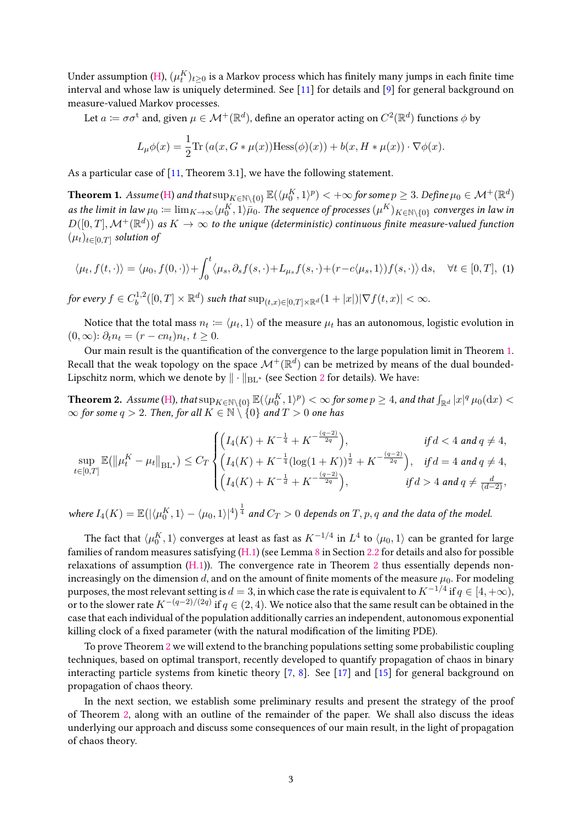Under assumption [\(H\)](#page-1-0),  $(\mu^K_t)_{t\geq 0}$  is a Markov process which has finitely many jumps in each finite time interval and whose law is uniquely determined. See [\[11\]](#page-29-0) for details and [\[9\]](#page-28-6) for general background on measure-valued Markov processes.

Let  $a\coloneqq \sigma\sigma^\text{t}$  and, given  $\mu\in\mathcal{M}^+(\mathbb{R}^d)$ , define an operator acting on  $C^2(\mathbb{R}^d)$  functions  $\phi$  by

$$
L_{\mu}\phi(x) = \frac{1}{2}\text{Tr}\left(a(x, G * \mu(x))\text{Hess}(\phi)(x)\right) + b(x, H * \mu(x)) \cdot \nabla \phi(x).
$$

As a particular case of [\[11,](#page-29-0) Theorem 3.1], we have the following statement.

<span id="page-2-1"></span> $\bf{Theorem 1.}$   $\it Assume$  [\(H\)](#page-1-0) and that  $\sup_{K\in\mathbb{N}\setminus\{0\}}\mathbb{E}(\langle\mu_0^K,1\rangle^p)<+\infty$  for some  $p\geq 3.$  Define  $\mu_0\in\mathcal{M}^+(\mathbb{R}^d)$ as the limit in law  $\mu_0\coloneqq\lim_{K\to\infty}\langle\mu_0^K,1\rangle\bar{\mu}_0.$  The sequence of processes  $(\mu^K)_{K\in\mathbb{N}\setminus\{0\}}$  converges in law in  $D([0,T],\mathcal{M}^+(\mathbb{R}^d))$  as  $K\to\infty$  to the unique (deterministic) continuous finite measure-valued function  $(\mu_t)_{t \in [0,T]}$  solution of

<span id="page-2-0"></span>
$$
\langle \mu_t, f(t, \cdot) \rangle = \langle \mu_0, f(0, \cdot) \rangle + \int_0^t \langle \mu_s, \partial_s f(s, \cdot) + L_{\mu_s} f(s, \cdot) + (r - c \langle \mu_s, 1 \rangle) f(s, \cdot) \rangle ds, \quad \forall t \in [0, T], \tag{1}
$$

for every  $f \in C_h^{1,2}$  $\int_b^{1,2}([0,T]\times\mathbb{R}^d)$  such that  $\sup_{(t,x)\in[0,T]\times\mathbb{R}^d}(1+|x|)|\nabla f(t,x)|<\infty.$ 

Notice that the total mass  $n_t \coloneqq \langle \mu_t, 1 \rangle$  of the measure  $\mu_t$  has an autonomous, logistic evolution in  $(0, ∞)$ :  $\partial_t n_t = (r - cn_t) n_t, t \geq 0.$ 

Our main result is the quantification of the convergence to the large population limit in Theorem [1.](#page-2-1) Recall that the weak topology on the space  $\mathcal{M}^+({\mathbb R}^d)$  can be metrized by means of the dual bounded-Lipschitz norm, which we denote by  $\|\cdot\|_{BL^*}$  (see Section [2](#page-3-0) for details). We have:

<span id="page-2-2"></span> $\textbf{Theorem 2.}\textbf{ Assume (H), that }\sup_{K\in\mathbb{N}\setminus\{0\}}\mathbb{E}(\langle \mu_0^K,1\rangle^p)<\infty$  $\textbf{Theorem 2.}\textbf{ Assume (H), that }\sup_{K\in\mathbb{N}\setminus\{0\}}\mathbb{E}(\langle \mu_0^K,1\rangle^p)<\infty$  $\textbf{Theorem 2.}\textbf{ Assume (H), that }\sup_{K\in\mathbb{N}\setminus\{0\}}\mathbb{E}(\langle \mu_0^K,1\rangle^p)<\infty$  for some  $p\geq 4$ , and that  $\int_{\mathbb{R}^d}|x|^q\,\mu_0(\textup{d} x)<\infty$  $\infty$  for some *q* > 2. Then, for all *K* ∈ N \ {0} and *T* > 0 one has

$$
\sup_{t\in[0,T]}\mathbb{E}(\|\mu_t^K - \mu_t\|_{\mathrm{BL}^*}) \leq C_T \begin{cases} \left(I_4(K) + K^{-\frac{1}{4}} + K^{-\frac{(q-2)}{2q}}\right), & \text{if } d < 4 \text{ and } q \neq 4, \\ \left(I_4(K) + K^{-\frac{1}{4}}(\log(1+K))^{\frac{1}{2}} + K^{-\frac{(q-2)}{2q}}\right), & \text{if } d = 4 \text{ and } q \neq 4, \\ \left(I_4(K) + K^{-\frac{1}{d}} + K^{-\frac{(q-2)}{2q}}\right), & \text{if } d > 4 \text{ and } q \neq \frac{d}{(d-2)}, \end{cases}
$$

where  $I_4(K)=\mathbb E(|\langle \mu_0^K,1\rangle-\langle \mu_0,1\rangle|^4)^{\frac{1}{4}}$  and  $C_T>0$  depends on  $T,p,q$  and the data of the model.

The fact that  $\langle \mu_0^K, 1\rangle$  converges at least as fast as  $K^{-1/4}$  in  $L^4$  to  $\langle \mu_0, 1\rangle$  can be granted for large families of random measures satisfying [\(H.1\)](#page-1-1) (see Lemma [8](#page-5-0) in Section [2.2](#page-5-1) for details and also for possible relaxations of assumption  $(H.1)$ ). The convergence rate in Theorem [2](#page-2-2) thus essentially depends nonincreasingly on the dimension  $d$ , and on the amount of finite moments of the measure  $\mu_0$ . For modeling purposes, the most relevant setting is  $d=3$ , in which case the rate is equivalent to  $K^{-1/4}$  if  $q\in[4,+\infty)$ , or to the slower rate *K*−(*q*−2)*/*(2*q*) if *q* ∈ (2*,* 4). We notice also that the same result can be obtained in the case that each individual of the population additionally carries an independent, autonomous exponential killing clock of a fixed parameter (with the natural modification of the limiting PDE).

To prove Theorem [2](#page-2-2) we will extend to the branching populations setting some probabilistic coupling techniques, based on optimal transport, recently developed to quantify propagation of chaos in binary interacting particle systems from kinetic theory [\[7,](#page-28-7) [8\]](#page-28-8). See [\[17\]](#page-29-5) and [\[15\]](#page-29-6) for general background on propagation of chaos theory.

In the next section, we establish some preliminary results and present the strategy of the proof of Theorem [2,](#page-2-2) along with an outline of the remainder of the paper. We shall also discuss the ideas underlying our approach and discuss some consequences of our main result, in the light of propagation of chaos theory.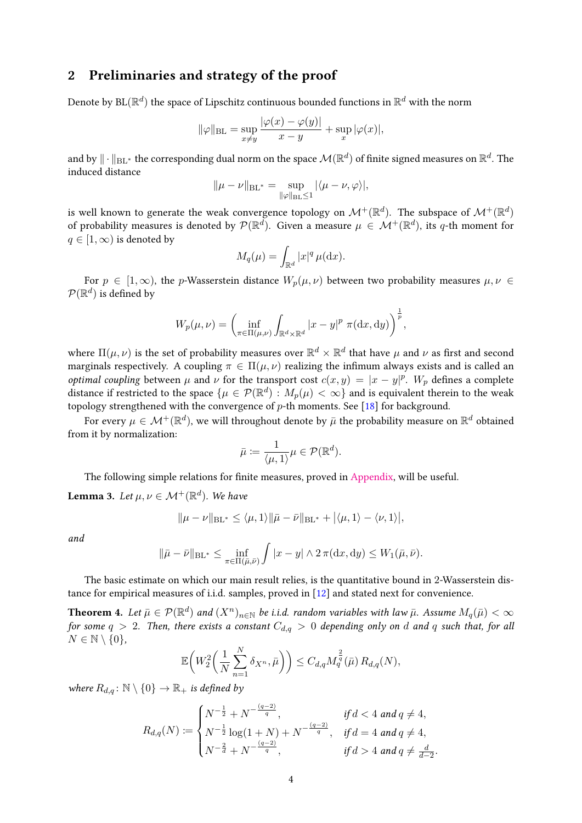### <span id="page-3-0"></span>2 Preliminaries and strategy of the proof

Denote by  $\text{BL}(\mathbb{R}^d)$  the space of Lipschitz continuous bounded functions in  $\mathbb{R}^d$  with the norm

$$
\|\varphi\|_{\text{BL}} = \sup_{x \neq y} \frac{|\varphi(x) - \varphi(y)|}{x - y} + \sup_x |\varphi(x)|,
$$

and by  $\|\cdot\|_{\text{BL}^*}$  the corresponding dual norm on the space  $\mathcal{M}(\R^d)$  of finite signed measures on  $\R^d.$  The induced distance

$$
\|\mu-\nu\|_{{\rm BL}^*}=\sup_{\|\varphi\|_{{\rm BL}}\le 1}|\langle\mu-\nu,\varphi\rangle|,
$$

is well known to generate the weak convergence topology on  $\mathcal{M}^+({\mathbb R}^d)$ . The subspace of  $\mathcal{M}^+({\mathbb R}^d)$ of probability measures is denoted by  $\mathcal{P}(\mathbb{R}^d)$ . Given a measure  $\mu \in \mathcal{M}^+(\mathbb{R}^d)$ , its q-th moment for  $q \in [1, \infty)$  is denoted by

$$
M_q(\mu) = \int_{\mathbb{R}^d} |x|^q \,\mu(\mathrm{d}x).
$$

For  $p \in [1,\infty)$ , the *p*-Wasserstein distance  $W_p(\mu,\nu)$  between two probability measures  $\mu,\nu \in$  $\mathcal{P}(\mathbb{R}^d)$  is defined by

$$
W_p(\mu, \nu) = \left(\inf_{\pi \in \Pi(\mu, \nu)} \int_{\mathbb{R}^d \times \mathbb{R}^d} |x - y|^p \pi(\mathrm{d}x, \mathrm{d}y)\right)^{\frac{1}{p}},
$$

where  $\Pi(\mu,\nu)$  is the set of probability measures over  $\mathbb{R}^d\times\mathbb{R}^d$  that have  $\mu$  and  $\nu$  as first and second marginals respectively. A coupling  $\pi \in \Pi(\mu, \nu)$  realizing the infimum always exists and is called an *optimal coupling between*  $\mu$  and  $\nu$  for the transport cost  $c(x, y) = |x - y|^p$ .  $W_p$  defines a complete distance if restricted to the space  $\{\mu \in \mathcal{P}(\mathbb{R}^d) : M_p(\mu) < \infty\}$  and is equivalent therein to the weak topology strengthened with the convergence of *p*-th moments. See [\[18\]](#page-29-7) for background.

For every  $\mu\in\mathcal{M}^+(\mathbb{R}^d)$ , we will throughout denote by  $\bar\mu$  the probability measure on  $\mathbb{R}^d$  obtained from it by normalization:

$$
\bar{\mu} \coloneqq \frac{1}{\langle \mu, 1 \rangle} \mu \in \mathcal{P}(\mathbb{R}^d).
$$

The following simple relations for finite measures, proved in [Appendix,](#page-26-0) will be useful.

<span id="page-3-1"></span>**Lemma 3.** Let  $\mu, \nu \in \mathcal{M}^+(\mathbb{R}^d)$ . We have

$$
\|\mu - \nu\|_{\text{BL}^*} \le \langle \mu, 1 \rangle \|\bar{\mu} - \bar{\nu}\|_{\text{BL}^*} + \langle \mu, 1 \rangle - \langle \nu, 1 \rangle\|,
$$

and

$$
\|\bar{\mu}-\bar{\nu}\|_{\mathrm{BL}^*} \leq \inf_{\pi \in \Pi(\bar{\mu},\bar{\nu})} \int |x-y| \wedge 2\,\pi(\mathrm{d}x,\mathrm{d}y) \leq W_1(\bar{\mu},\bar{\nu}).
$$

The basic estimate on which our main result relies, is the quantitative bound in 2-Wasserstein distance for empirical measures of i.i.d. samples, proved in [\[12\]](#page-29-8) and stated next for convenience.

<span id="page-3-2"></span>**Theorem 4.** Let  $\bar{\mu} \in \mathcal{P}(\mathbb{R}^d)$  and  $(X^n)_{n \in \mathbb{N}}$  be i.i.d. random variables with law  $\bar{\mu}$ . Assume  $M_q(\bar{\mu}) < \infty$ for some  $q > 2$ . Then, there exists a constant  $C_{d,q} > 0$  depending only on *d* and *q* such that, for all  $N \in \mathbb{N} \setminus \{0\},\$ 

$$
\mathbb{E}\bigg(W_2^2\bigg(\frac{1}{N}\sum_{n=1}^N \delta_{X^n}, \bar{\mu}\bigg)\bigg) \leq C_{d,q} M_q^{\frac{2}{q}}(\bar{\mu}) R_{d,q}(N),
$$

where  $R_{d,q}$ :  $\mathbb{N} \setminus \{0\} \to \mathbb{R}_+$  is defined by

$$
R_{d,q}(N) := \begin{cases} N^{-\frac{1}{2}} + N^{-\frac{(q-2)}{q}}, & \text{if } d < 4 \text{ and } q \neq 4, \\ N^{-\frac{1}{2}} \log(1+N) + N^{-\frac{(q-2)}{q}}, & \text{if } d = 4 \text{ and } q \neq 4, \\ N^{-\frac{2}{d}} + N^{-\frac{(q-2)}{q}}, & \text{if } d > 4 \text{ and } q \neq \frac{d}{d-2}. \end{cases}
$$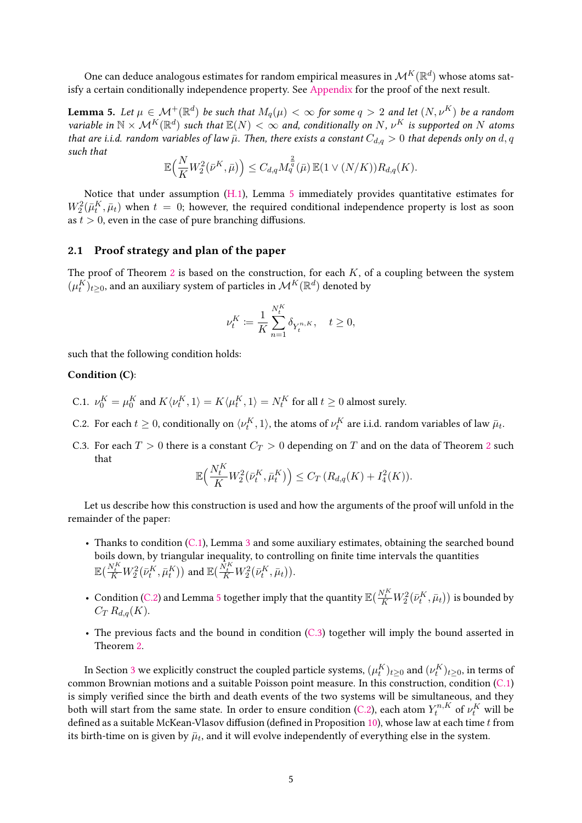One can deduce analogous estimates for random empirical measures in  $\mathcal{M}^K(\mathbb{R}^d)$  whose atoms satisfy a certain conditionally independence property. See [Appendix](#page-26-0) for the proof of the next result.

<span id="page-4-0"></span>Lemma 5. Let  $\mu \in \mathcal{M}^+(\mathbb{R}^d)$  be such that  $M_q(\mu)<\infty$  for some  $q>2$  and let  $(N, \nu^K)$  be a random variable in  $\mathbb{N} \times \mathcal{M}^K(\mathbb{R}^d)$  such that  $\mathbb{E}(N) < \infty$  and, conditionally on N,  $\nu^K$  is supported on N atoms that are i.i.d. random variables of law  $\bar{\mu}$ . Then, there exists a constant  $C_{d,q} > 0$  that depends only on d, q such that

$$
\mathbb{E}\Big(\frac{N}{K}W_2^2(\bar{\nu}^K,\bar{\mu})\Big)\leq C_{d,q}M_q^{\frac{2}{q}}(\bar{\mu})\,\mathbb{E}(1\vee (N/K))R_{d,q}(K).
$$

Notice that under assumption [\(H.1\)](#page-1-1), Lemma [5](#page-4-0) immediately provides quantitative estimates for  $W_2^2(\bar{\mu}_t^K, \bar{\mu}_t)$  when  $t~=~0;$  however, the required conditional independence property is lost as soon as  $t > 0$ , even in the case of pure branching diffusions.

#### <span id="page-4-4"></span>2.1 Proof strategy and plan of the paper

The proof of Theorem [2](#page-2-2) is based on the construction, for each *K*, of a coupling between the system  $(\mu^K_t)_{t\geq 0}$ , and an auxiliary system of particles in  $\mathcal{M}^K(\mathbb{R}^d)$  denoted by

$$
\nu_t^K := \frac{1}{K} \sum_{n=1}^{N_t^K} \delta_{Y_t^{n,K}}, \quad t \ge 0,
$$

such that the following condition holds:

#### Condition (C):

- <span id="page-4-5"></span><span id="page-4-1"></span>C.1.  $\nu_0^K = \mu_0^K$  and  $K\langle \nu_t^K, 1 \rangle = K\langle \mu_t^K, 1 \rangle = N_t^K$  for all  $t \geq 0$  almost surely.
- <span id="page-4-2"></span>C.2. For each  $t \geq 0$ , conditionally on  $\langle \nu_t^K, 1 \rangle$ , the atoms of  $\nu_t^K$  are i.i.d. random variables of law  $\bar{\mu}_t$ .
- <span id="page-4-3"></span>C.3. For each  $T > 0$  there is a constant  $C_T > 0$  depending on  $T$  and on the data of Theorem [2](#page-2-2) such that

$$
\mathbb{E}\Big(\frac{N_t^K}{K}W_2^2(\bar{\nu}_t^K, \bar{\mu}_t^K)\Big) \leq C_T (R_{d,q}(K) + I_4^2(K)).
$$

Let us describe how this construction is used and how the arguments of the proof will unfold in the remainder of the paper:

- Thanks to condition [\(C.1\)](#page-4-1), Lemma [3](#page-3-1) and some auxiliary estimates, obtaining the searched bound boils down, by triangular inequality, to controlling on finite time intervals the quantities  $\mathbb{E}(\frac{N^K_t}{K}W_2^2(\bar{\nu}^K_t,\bar{\mu}^K_t))$  and  $\mathbb{E}(\frac{N^K_t}{K}W_2^2(\bar{\nu}^K_t,\bar{\mu}_t)).$
- Condition [\(C.2\)](#page-4-2) and Lemma [5](#page-4-0) together imply that the quantity  $\mathbb{E}(\frac{N_t^K}{K}W_2^2(\bar{\nu}_t^K,\bar{\mu}_t))$  is bounded by  $C_T R_{d,q}(K)$ .
- The previous facts and the bound in condition [\(C.3\)](#page-4-3) together will imply the bound asserted in Theorem [2.](#page-2-2)

In Section [3](#page-6-0) we explicitly construct the coupled particle systems,  $(\mu^K_t)_{t\geq 0}$  and  $(\nu^K_t)_{t\geq 0}$ , in terms of common Brownian motions and a suitable Poisson point measure. In this construction, condition [\(C.1\)](#page-4-1) is simply verified since the birth and death events of the two systems will be simultaneous, and they both will start from the same state. In order to ensure condition [\(C.2\)](#page-4-2), each atom  $Y_t^{n,K}$  of  $\nu_t^K$  will be defined as a suitable McKean-Vlasov diffusion (defined in Proposition [10\)](#page-6-1), whose law at each time *t* from its birth-time on is given by  $\bar{\mu}_t$ , and it will evolve independently of everything else in the system.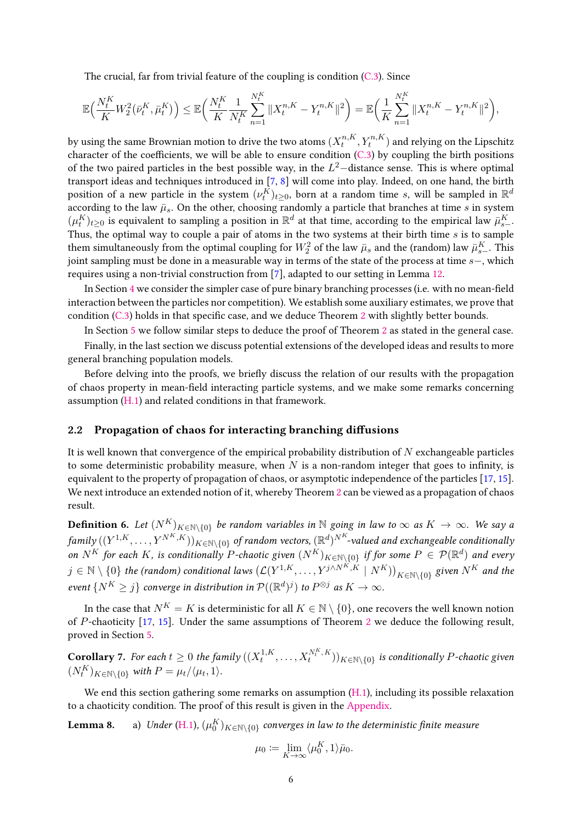The crucial, far from trivial feature of the coupling is condition [\(C.3\)](#page-4-3). Since

$$
\mathbb{E}\Big(\frac{N_t^K}{K}W_2^2(\bar{\nu}_t^K, \bar{\mu}_t^K)\Big) \leq \mathbb{E}\Big(\frac{N_t^K}{K}\frac{1}{N_t^K}\sum_{n=1}^{N_t^K} \|X_t^{n,K} - Y_t^{n,K}\|^2\Big) = \mathbb{E}\Big(\frac{1}{K}\sum_{n=1}^{N_t^K} \|X_t^{n,K} - Y_t^{n,K}\|^2\Big),
$$

by using the same Brownian motion to drive the two atoms  $(X_{t}^{n,K}% ,\mathcal{L}_{t}^{n})$  $t^{n,K}, Y^{n,K}_t)$  and relying on the Lipschitz character of the coefficients, we will be able to ensure condition  $(C.3)$  by coupling the birth positions of the two paired particles in the best possible way, in the *L* <sup>2</sup>−distance sense. This is where optimal transport ideas and techniques introduced in [\[7,](#page-28-7) [8\]](#page-28-8) will come into play. Indeed, on one hand, the birth position of a new particle in the system  $(\nu^K_t)_{t\geq 0}$ , born at a random time *s*, will be sampled in  $\mathbb{R}^d$ according to the law  $\bar{\mu}_s$ . On the other, choosing randomly a particle that branches at time *s* in system  $(\mu^K_t)_{t\geq 0}$  is equivalent to sampling a position in  $\mathbb{R}^d$  at that time, according to the empirical law  $\bar{\mu}^K_{s-}.$ Thus, the optimal way to couple a pair of atoms in the two systems at their birth time *s* is to sample them simultaneously from the optimal coupling for  $W_2^2$  of the law  $\bar{\mu}_s$  and the (random) law  $\bar{\mu}^K_{s-}.$  This joint sampling must be done in a measurable way in terms of the state of the process at time *s*−, which requires using a non-trivial construction from [\[7\]](#page-28-7), adapted to our setting in Lemma [12.](#page-7-0)

In Section [4](#page-11-0) we consider the simpler case of pure binary branching processes (i.e. with no mean-field interaction between the particles nor competition). We establish some auxiliary estimates, we prove that condition  $(C.3)$  holds in that specific case, and we deduce Theorem [2](#page-2-2) with slightly better bounds.

In Section [5](#page-17-0) we follow similar steps to deduce the proof of Theorem [2](#page-2-2) as stated in the general case.

Finally, in the last section we discuss potential extensions of the developed ideas and results to more general branching population models.

Before delving into the proofs, we briefly discuss the relation of our results with the propagation of chaos property in mean-field interacting particle systems, and we make some remarks concerning assumption [\(H.1\)](#page-1-1) and related conditions in that framework.

#### <span id="page-5-1"></span>2.2 Propagation of chaos for interacting branching diffusions

It is well known that convergence of the empirical probability distribution of *N* exchangeable particles to some deterministic probability measure, when  $N$  is a non-random integer that goes to infinity, is equivalent to the property of propagation of chaos, or asymptotic independence of the particles [\[17,](#page-29-5) [15\]](#page-29-6). We next introduce an extended notion of it, whereby Theorem [2](#page-2-2) can be viewed as a propagation of chaos result.

**Definition 6.** Let  $(N^K)_{K \in \mathbb{N} \setminus \{0\}}$  be random variables in  $\mathbb N$  going in law to  $\infty$  as  $K \to \infty$ . We say a  $f$ amily  $((Y^{1,K},\ldots,Y^{N^K,K}))_{K\in\mathbb{N}\setminus\{0\}}$  of random vectors,  $(\mathbb{R}^d)^{N^K}$ -valued and exchangeable conditionally on  $N^K$  for each  $K$ , is conditionally  $P$ -chaotic given  $(N^K)_{K \in \mathbb{N} \setminus \{0\}}$  if for some  $P \in \mathcal{P}(\mathbb{R}^d)$  and every  $j \in \mathbb{N} \setminus \{0\}$  the (random) conditional laws  $(\mathcal{L}(Y^{1,K}, \ldots, Y^{j\wedge N^K,K} \mid N^K))_{K\in\mathbb{N}\setminus\{0\}}$  given  $N^K$  and the event  $\{N^K\geq j\}$  converge in distribution in  $\mathcal{P}((\mathbb{R}^d)^j)$  to  $P^{\otimes j}$  as  $K\to\infty$ .

In the case that  $N^K = K$  is deterministic for all  $K \in \mathbb{N} \setminus \{0\}$ , one recovers the well known notion of *P*-chaoticity [\[17,](#page-29-5) [15\]](#page-29-6). Under the same assumptions of Theorem [2](#page-2-2) we deduce the following result, proved in Section [5.](#page-17-0)

<span id="page-5-2"></span>**Corollary** 7. For each  $t\geq 0$  the family  $((X^{1,K}_{t})^{\text{in}})$  $\{f_t^{1,K},\ldots,X_t^{N_t^K,K})\}_{K\in\mathbb{N}\backslash\{0\}}$  is conditionally *P*-chaotic given  $(N^K_t)_{K \in \mathbb{N} \setminus \{0\}}$  with  $P = \mu_t / \langle \mu_t, 1 \rangle$ .

We end this section gathering some remarks on assumption [\(H.1\)](#page-1-1), including its possible relaxation to a chaoticity condition. The proof of this result is given in the [Appendix.](#page-26-0)

<span id="page-5-0"></span> ${\bf Lemma \ 8.} \qquad$  a)  $\;$  Under [\(H.1\)](#page-1-1),  $(\mu_0^K)_{K\in\mathbb{N}\setminus\{0\}}$  converges in law to the deterministic finite measure

$$
\mu_0 \coloneqq \lim_{K \to \infty} \langle \mu_0^K, 1 \rangle \bar{\mu}_0.
$$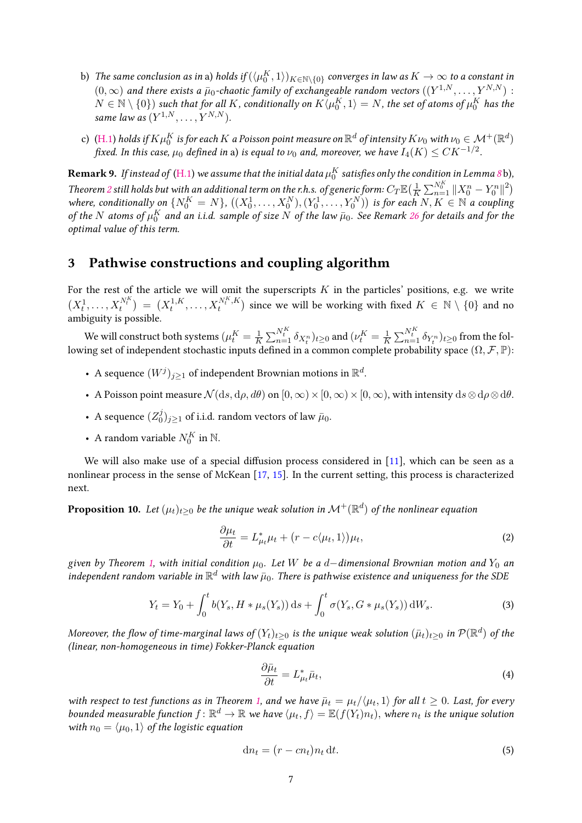- b) The same conclusion as in a) holds if  $(\langle \mu_0^K,1\rangle)_{K\in\mathbb{N}\setminus\{0\}}$  converges in law as  $K\to\infty$  to a constant in  $(0,\infty)$  and there exists a  $\bar{\mu}_0$ -chaotic family of exchangeable random vectors  $((Y^{1,N},\ldots,Y^{N,N})$  :  $N \in \mathbb{N} \setminus \{0\}$  such that for all  $K$ , conditionally on  $K\langle \mu_0^K,1\rangle=N$ , the set of atoms of  $\mu_0^K$  has the same law as  $(Y^{1,N}, \ldots, Y^{N,N}).$
- c) [\(H.1\)](#page-1-1) holds if  $K\mu_0^K$  is for each  $K$  a Poisson point measure on  $\R^d$  of intensity  $K\nu_0$  with  $\nu_0\in\mathcal{M}^+(\R^d)$ fixed. In this case,  $\mu_0$  defined in a) is equal to  $\nu_0$  and, moreover, we have  $I_4(K) \leq CK^{-1/2}.$

 ${\bf Remark~9}.$  If instead of [\(H.1\)](#page-1-1) we assume that the initial data  $\mu_0^K$  satisfies only the condition in Lemma [8](#page-5-0) b), Theorem [2](#page-2-2) still holds but with an additional term on the r.h.s. of generic form:  $C_T\mathbb{E}(\frac{1}{K})$  $\frac{1}{K} \sum_{n=1}^{N_0^K} ||X_0^n - Y_0^n||^2$ where, conditionally on  $\{N_0^K=N\}$ ,  $((X_0^1,\ldots,X_0^N),(Y_0^1,\ldots,Y_0^N))$  is for each  $N,K\in\mathbb{N}$  a coupling of the  $N$  atoms of  $\mu_0^K$  and an i.i.d. sample of size  $N$  of the law  $\bar{\mu}_0$ . See Remark [26](#page-26-1) for details and for the optimal value of this term.

### <span id="page-6-0"></span>3 Pathwise constructions and coupling algorithm

For the rest of the article we will omit the superscripts  $K$  in the particles' positions, e.g. we write  $(X_t^1, \ldots, X_t^{N_t^K}) = (X_t^{1,K})$  $X_t^{N_t^K, K}$  $\binom{N_t^K,K}{t}$  since we will be working with fixed  $K \in \mathbb{N} \setminus \{0\}$  and no ambiguity is possible.

We will construct both systems  $(\mu^K_t = \frac{1}{K})$  $\frac{1}{K} \sum_{n=1}^{N_t^K} \delta_{X_t^n}$ ) $_{t \geq 0}$  and  $(\nu_t^K = \frac{1}{K_t^k})$  $\frac{1}{K}\sum_{n=1}^{N_t^K} \delta_{Y_t^n})_{t\geq 0}$  from the following set of independent stochastic inputs defined in a common complete probability space (Ω, F, P):

- A sequence  $(W^j)_{j\geq 1}$  of independent Brownian motions in  $\mathbb{R}^d$ .
- A Poisson point measure  $\mathcal{N}(ds, d\rho, d\theta)$  on  $[0, \infty) \times [0, \infty) \times [0, \infty)$ , with intensity  $ds \otimes d\rho \otimes d\theta$ .
- A sequence  $(Z_0^j)$  $\bar{y}^{j}_{0})_{j\geq 1}$  of i.i.d. random vectors of law  $\bar{\mu}_0.$
- A random variable  $N_0^K$  in  $\mathbb N$ .

We will also make use of a special diffusion process considered in  $[11]$ , which can be seen as a nonlinear process in the sense of McKean [\[17,](#page-29-5) [15\]](#page-29-6). In the current setting, this process is characterized next.

<span id="page-6-1"></span>**Proposition 10.** Let  $(\mu_t)_{t\geq 0}$  be the unique weak solution in  $\mathcal{M}^+(\mathbb{R}^d)$  of the nonlinear equation

<span id="page-6-3"></span>
$$
\frac{\partial \mu_t}{\partial t} = L^*_{\mu_t} \mu_t + (r - c \langle \mu_t, 1 \rangle) \mu_t,\tag{2}
$$

given by Theorem [1,](#page-2-1) with initial condition *µ*0. Let *W* be a *d*−dimensional Brownian motion and *Y*<sup>0</sup> an independent random variable in  $\mathbb{R}^d$  with law  $\bar{\mu}_0$ . There is pathwise existence and uniqueness for the SDE

<span id="page-6-2"></span>
$$
Y_t = Y_0 + \int_0^t b(Y_s, H * \mu_s(Y_s)) ds + \int_0^t \sigma(Y_s, G * \mu_s(Y_s)) dW_s.
$$
 (3)

Moreover, the flow of time-marginal laws of  $(Y_t)_{t\geq 0}$  is the unique weak solution  $(\bar\mu_t)_{t\geq 0}$  in  $\mathcal{P}(\mathbb{R}^d)$  of the (linear, non-homogeneous in time) Fokker-Planck equation

<span id="page-6-4"></span>
$$
\frac{\partial \bar{\mu}_t}{\partial t} = L^*_{\mu_t} \bar{\mu}_t,\tag{4}
$$

with respect to test functions as in Theorem [1,](#page-2-1) and we have  $\bar{\mu}_t = \mu_t/\langle\mu_t,1\rangle$  for all  $t\geq 0$ . Last, for every bounded measurable function  $f: \mathbb{R}^d \to \mathbb{R}$  we have  $\langle \mu_t, f \rangle = \mathbb{E}(f(Y_t)n_t)$ , where  $n_t$  is the unique solution with  $n_0 = \langle \mu_0, 1 \rangle$  of the logistic equation

<span id="page-6-5"></span>
$$
\mathrm{d}n_t = (r - cn_t)n_t \,\mathrm{d}t. \tag{5}
$$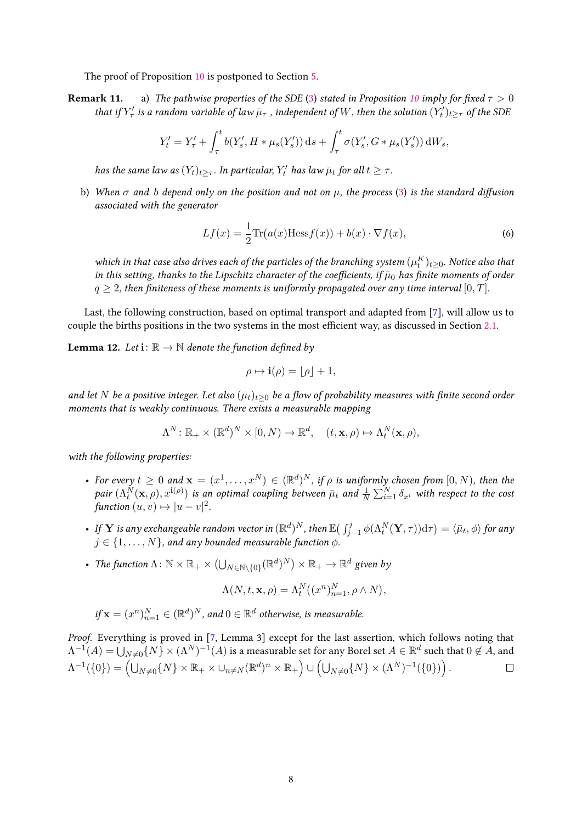The proof of Proposition [10](#page-6-1) is postponed to Section [5.](#page-17-0)

<span id="page-7-1"></span>**Remark 11.** a) The pathwise properties of the SDE [\(3\)](#page-6-2) stated in Proposition [10](#page-6-1) imply for fixed  $\tau > 0$ that if  $Y'_\tau$  is a random variable of law  $\bar{\mu}_\tau$  , independent of W, then the solution  $(Y'_t)_{t\geq \tau}$  of the SDE

$$
Y'_{t} = Y'_{\tau} + \int_{\tau}^{t} b(Y'_{s}, H * \mu_{s}(Y'_{s})) ds + \int_{\tau}^{t} \sigma(Y'_{s}, G * \mu_{s}(Y'_{s})) dW_{s},
$$

has the same law as  $(Y_t)_{t\geq \tau}$ . In particular,  $Y'_t$  has law  $\bar{\mu}_t$  for all  $t \geq \tau$ .

b) When  $\sigma$  and *b* depend only on the position and not on  $\mu$ , the process [\(3\)](#page-6-2) is the standard diffusion associated with the generator

<span id="page-7-2"></span>
$$
Lf(x) = \frac{1}{2} \text{Tr}(a(x) \text{Hess} f(x)) + b(x) \cdot \nabla f(x),\tag{6}
$$

which in that case also drives each of the particles of the branching system  $(\mu_t^K)_{t\geq 0}.$  Notice also that in this setting, thanks to the Lipschitz character of the coefficients, if  $\bar{\mu}_0$  has finite moments of order  $q \geq 2$ , then finiteness of these moments is uniformly propagated over any time interval [0, *T*].

Last, the following construction, based on optimal transport and adapted from [\[7\]](#page-28-7), will allow us to couple the births positions in the two systems in the most efficient way, as discussed in Section [2.1.](#page-4-4)

<span id="page-7-0"></span>**Lemma 12.** Let  $\mathbf{i} : \mathbb{R} \to \mathbb{N}$  denote the function defined by

$$
\rho \mapsto \mathbf{i}(\rho) = |\rho| + 1,
$$

and let *N* be a positive integer. Let also  $(\bar{\mu}_t)_{t>0}$  be a flow of probability measures with finite second order moments that is weakly continuous. There exists a measurable mapping

$$
\Lambda^N \colon \mathbb{R}_+ \times (\mathbb{R}^d)^N \times [0, N) \to \mathbb{R}^d, \quad (t, \mathbf{x}, \rho) \mapsto \Lambda_t^N(\mathbf{x}, \rho),
$$

with the following properties:

- For every  $t \geq 0$  and  $\mathbf{x} = (x^1, \dots, x^N) \in (\mathbb{R}^d)^N$ , if  $\rho$  is uniformly chosen from  $[0, N)$ , then the  $pair(\Lambda_t^N(\mathbf{x},\rho),x^{\mathbf{i}(\rho)})$  is an optimal coupling between  $\bar{\mu}_t$  and  $\frac{1}{N}\sum_{i=1}^N \delta_{x^i}$  with respect to the cost function  $(u, v) \mapsto |u - v|^2$ .
- $\bullet$  If  $\bf{Y}$  is any exchangeable random vector in  $(\mathbb{R}^d)^N$ , then  $\mathbb{E}\big(\int_{j-1}^j \phi(\Lambda^N_t(\bf{Y}, \tau)) \mathrm{d} \tau\big) = \langle \bar{\mu}_t, \phi \rangle$  for any  $j \in \{1, \ldots, N\}$ , and any bounded measurable function  $\phi$ .
- The function  $\Lambda: \mathbb{N} \times \mathbb{R}_+ \times (\bigcup_{N \in \mathbb{N} \setminus \{0\}} (\mathbb{R}^d)^N) \times \mathbb{R}_+ \to \mathbb{R}^d$  given by

$$
\Lambda(N, t, \mathbf{x}, \rho) = \Lambda_t^N((x^n)_{n=1}^N, \rho \wedge N),
$$

if 
$$
\mathbf{x} = (x^n)_{n=1}^N \in (\mathbb{R}^d)^N
$$
, and  $0 \in \mathbb{R}^d$  otherwise, is measurable.

Proof. Everything is proved in [\[7,](#page-28-7) Lemma 3] except for the last assertion, which follows noting that  $\Lambda^{-1}(A)=\bigcup_{N\neq 0}\{N\}\times (\Lambda^N)^{-1}(A)$  is a measurable set for any Borel set  $A\in\mathbb{R}^d$  such that  $0\not\in A,$  and  $\Lambda^{-1}(\{0\}) = \left(\bigcup_{N\neq 0}\{N\}\times\mathbb{R}_+\times \bigcup_{n\neq N}(\mathbb{R}^d)^n\times\mathbb{R}_+\right)\cup \left(\bigcup_{N\neq 0}\{N\}\times(\Lambda^N)^{-1}(\{0\})\right).$  $\Box$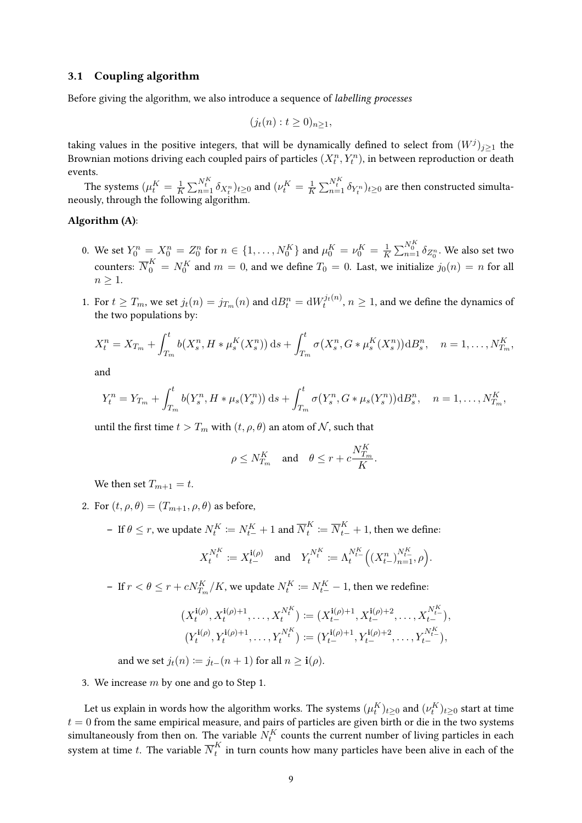#### 3.1 Coupling algorithm

Before giving the algorithm, we also introduce a sequence of labelling processes

$$
(j_t(n):t\geq 0)_{n\geq 1},
$$

taking values in the positive integers, that will be dynamically defined to select from  $(W^j)_{j\geq 1}$  the Brownian motions driving each coupled pairs of particles  $(X_t^n,Y_t^n)$ , in between reproduction or death events.

The systems  $(\mu^K_t = \frac{1}{K})$  $\frac{1}{K} \sum_{n=1}^{N_t^K} \delta_{X_t^n}$ ) $_{t \geq 0}$  and  $(\nu_t^K = \frac{1}{K_t^t})$  $\frac{1}{K} \sum_{n=1}^{N^K_t} \delta_{Y^n_t})_{t \geq 0}$  are then constructed simultaneously, through the following algorithm.

#### Algorithm (A):

- <span id="page-8-0"></span>0. We set  $Y_0^n = X_0^n = Z_0^n$  for  $n \in \{1, ..., N_0^K\}$  and  $\mu_0^K = \nu_0^K = \frac{1}{K}$  $\frac{1}{K}\sum_{n=1}^{N_{0}^{K}}\delta_{Z_{0}^{n}}$ . We also set two counters:  $\overline{N}_0^K = N_0^K$  and  $m = 0$ , and we define  $T_0 = 0$ . Last, we initialize  $j_0(n) = n$  for all  $n \geq 1$ .
- 1. For  $t \geq T_m$ , we set  $j_t(n) = j_{T_m}(n)$  and  $\mathrm{d}B_t^n = \mathrm{d}W_t^{j_t(n)}, n \geq 1$ , and we define the dynamics of the two populations by:

$$
X_t^n = X_{T_m} + \int_{T_m}^t b(X_s^n, H * \mu_s^K(X_s^n)) ds + \int_{T_m}^t \sigma(X_s^n, G * \mu_s^K(X_s^n)) dB_s^n, \quad n = 1, ..., N_{T_m}^K,
$$

and

$$
Y_t^n = Y_{T_m} + \int_{T_m}^t b(Y_s^n, H * \mu_s(Y_s^n)) ds + \int_{T_m}^t \sigma(Y_s^n, G * \mu_s(Y_s^n)) dB_s^n, \quad n = 1, ..., N_{T_m}^K,
$$

until the first time  $t > T_m$  with  $(t, \rho, \theta)$  an atom of  $N$ , such that

$$
\rho \leq N^K_{T_m} \quad \text{and} \quad \theta \leq r + c \frac{N^K_{T_m}}{K}.
$$

We then set  $T_{m+1} = t$ .

- 2. For  $(t, \rho, \theta) = (T_{m+1}, \rho, \theta)$  as before,
	- $\mathbf{p} \text{ If } \theta \leq r \text{, we update } N_t^K \coloneqq N_{t-}^K + 1 \text{ and } \overline{N}_t^K$  $\overline{N}_{t}^{K} \coloneqq \overline{N}_{t-}^{K} + 1$ , then we define:  $N_t^K$

$$
X_t^{N_t^K} := X_{t-}^{\mathbf{i}(\rho)} \quad \text{and} \quad Y_t^{N_t^K} := \Lambda_t^{N_{t-}^K} \Big( (X_{t-}^n)_{n=1}^{N_{t-}^K}, \rho \Big).
$$

 $−$  If  $r < θ ≤ r + cN_{T_m}^K/K$ , we update  $N_t^K ≔ N_{t-}^K − 1$ , then we redefine:

$$
(X_t^{i(\rho)}, X_t^{i(\rho)+1}, \dots, X_t^{N_t^K}) := (X_{t-}^{i(\rho)+1}, X_{t-}^{i(\rho)+2}, \dots, X_{t-}^{N_t^K}),
$$
  

$$
(Y_t^{i(\rho)}, Y_t^{i(\rho)+1}, \dots, Y_t^{N_t^K}) := (Y_{t-}^{i(\rho)+1}, Y_{t-}^{i(\rho)+2}, \dots, Y_{t-}^{N_t^K}),
$$

and we set  $j_t(n) \coloneqq j_{t-1}(n+1)$  for all  $n \geq i(\rho)$ .

3. We increase *m* by one and go to Step 1.

Let us explain in words how the algorithm works. The systems  $(\mu^K_t)_{t\geq 0}$  and  $(\nu^K_t)_{t\geq 0}$  start at time  $t = 0$  from the same empirical measure, and pairs of particles are given birth or die in the two systems simultaneously from then on. The variable  $N_t^K$  counts the current number of living particles in each system at time  $t.$  The variable  $\overline{N}^K_t$  $\boldsymbol{h}_t^K$  in turn counts how many particles have been alive in each of the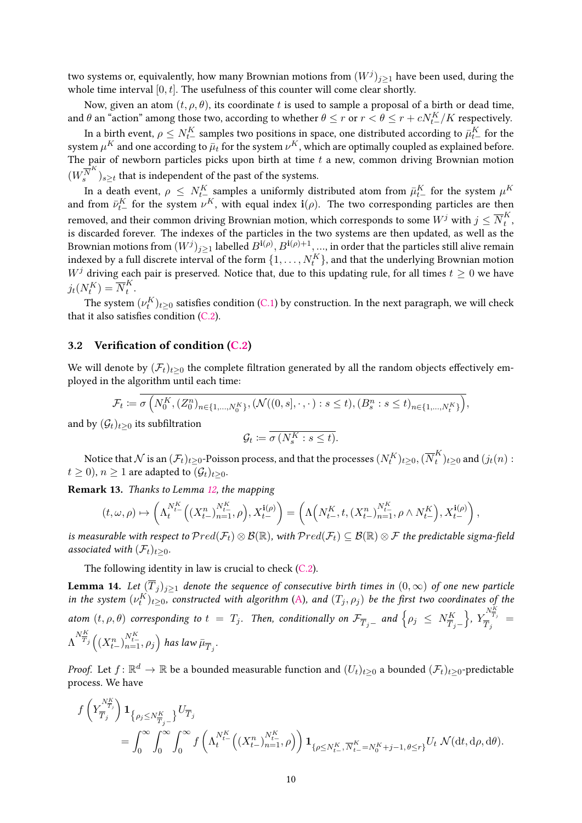two systems or, equivalently, how many Brownian motions from  $(W^j)_{j\geq 1}$  have been used, during the whole time interval [0*, t*]. The usefulness of this counter will come clear shortly.

Now, given an atom  $(t, \rho, \theta)$ , its coordinate t is used to sample a proposal of a birth or dead time, and  $\theta$  an "action" among those two, according to whether  $\theta \leq r$  or  $r < \theta \leq r + c N^K_{t-}/K$  respectively.

In a birth event,  $\rho \le N^K_t$  samples two positions in space, one distributed according to  $\bar\mu^K_{t-}$  for the system  $\mu^K$  and one according to  $\bar{\mu}_t$  for the system  $\nu^K$ , which are optimally coupled as explained before. The pair of newborn particles picks upon birth at time *t* a new, common driving Brownian motion  $(W^{\overline{N}^K}_s$  $\binom{\overline{N}^{\alpha}}{s}$ <sub>*s*≥*t*</sub> that is independent of the past of the systems.

In a death event,  $\rho~\leq~N^K_{t-}$  samples a uniformly distributed atom from  $\bar{\mu}^K_{t-}$  for the system  $\mu^K$ and from  $\bar{\nu}_{t-}^K$  for the system  $\nu^K$ , with equal index  $\mathbf{i}(\rho)$ . The two corresponding particles are then removed, and their common driving Brownian motion, which corresponds to some  $W^j$  with  $j\leq\overline{N}^K_t$ *t* , is discarded forever. The indexes of the particles in the two systems are then updated, as well as the Brownian motions from  $(W^j)_{j\geq 1}$  labelled  $B^{{\bf i}(\rho)},B^{{\bf i}(\rho)+1},...$ , in order that the particles still alive remain indexed by a full discrete interval of the form  $\{1,\ldots,N^K_t\}$ , and that the underlying Brownian motion *W*<sup>*j*</sup> driving each pair is preserved. Notice that, due to this updating rule, for all times  $t > 0$  we have  $j_t(N_t^K) = \overline{N}_t^K$ *t* .

The system  $(\nu^K_t)_{t\geq 0}$  satisfies condition [\(C.1\)](#page-4-1) by construction. In the next paragraph, we will check that it also satisfies condition  $(C.2)$ .

#### 3.2 Verification of condition  $(C.2)$

We will denote by  $(\mathcal{F}_t)_{t>0}$  the complete filtration generated by all the random objects effectively employed in the algorithm until each time:

$$
\mathcal{F}_t := \sigma\left(N_0^K, (Z_0^n)_{n \in \{1, \dots, N_0^K\}}, (\mathcal{N}((0, s], \cdot, \cdot) : s \le t), (B_s^n : s \le t)_{n \in \{1, \dots, N_t^K\}}\right),
$$
  
with  $t \ge 0$  its subfiltration

and by  $(\mathcal{G}_t)_{t>0}$ 

$$
\mathcal{G}_t \coloneqq \overline{\sigma\left(N_s^K : s \le t\right)}.
$$

Notice that  ${\cal N}$  is an  $(\mathcal{F}_t)_{t\ge0}$ -Poisson process, and that the processes  $(N^K_t)_{t\ge0}, (\overline{N}^K_t$  $\binom{K}{t}$ <sub>*t*</sub> $\geq$ <sup>0</sup> and  $(j_t(n)$  :  $t \geq 0$ ,  $n \geq 1$  are adapted to  $(\mathcal{G}_t)_{t \geq 0}$ .

<span id="page-9-0"></span>Remark 13. Thanks to Lemma [12,](#page-7-0) the mapping

$$
(t,\omega,\rho)\mapsto \left(\Lambda^{N^K_{t-}}_t\Big((X^n_{t-})^{N^K_{t-}}_{n=1},\rho\Big),X^{ \mathbf{i}(\rho)}_{t-}\right)=\left(\Lambda\Big(N^K_{t-},t,(X^n_{t-})^{N^K_{t-}}_{n=1},\rho\wedge N^K_{t-}\Big),X^{ \mathbf{i}(\rho)}_{t-}\right),
$$

is measurable with respect to  $Pred(\mathcal{F}_t) \otimes B(\mathbb{R})$ , with  $Pred(\mathcal{F}_t) \subseteq B(\mathbb{R}) \otimes \mathcal{F}$  the predictable sigma-field associated with  $(\mathcal{F}_t)_{t\geq0}$ .

The following identity in law is crucial to check [\(C.2\)](#page-4-2).

<span id="page-9-1"></span>**Lemma 14.** Let  $(\overline{T}_j)_{j\geq1}$  denote the sequence of consecutive birth times in  $(0,\infty)$  of one new particle in the system  $(\nu^K_t)_{t\geq0}$ , constructed with algorithm [\(A\)](#page-8-0), and  $(T_j, \rho_j)$  be the first two coordinates of the atom  $(t, \rho, \theta)$  corresponding to  $t~=~T_j$ . Then, conditionally on  $\mathcal{F}_{\overline{T}_j-}$  and  $\left\{\rho_j~\leq~N_{\overline{T}_j-}^K\right\}$  $\left\{\right\}$ ,  $Y_{\overline{T}}^{N_{\overline{T}_j}^K}$  $\frac{\tau}{T}_j^{\, \, T_j} \,\, = \,\,$ Λ  $\int_{0}^{N_{\overline{T}_j}}\left(\left(X_{t-}^n\right)_{n=1}^{N_{t-}^K},\rho_j\right)$  has law  $\bar{\mu}_{\overline{T}_j}.$ 

*Proof.* Let  $f\colon\mathbb{R}^d\to\mathbb{R}$  be a bounded measurable function and  $(U_t)_{t\geq 0}$  a bounded  $(\mathcal{F}_t)_{t\geq 0}$ -predictable process. We have

$$
\begin{split} &f\left(Y_{\overline{T}_j}^{N_{\overline{T}_j}^K}\right)\mathbf{1}_{\left\{\rho_j\leq N_{\overline{T}_j-}^K\right\}}U_{\overline{T}_j}\\ &=\int_0^\infty\int_0^\infty\int_0^\infty f\left(\Lambda_t^{N_{t-}^K}\Big((X_{t-}^n)_{n=1}^{N_{t-}^K},\rho\Big)\right)\mathbf{1}_{\{\rho\leq N_{t-}^K,\overline{N}_{t-}^K=N_0^K+j-1,\,\theta\leq r\}}U_t\;\mathcal{N}(\mathrm{d} t,\mathrm{d} \rho,\mathrm{d} \theta). \end{split}
$$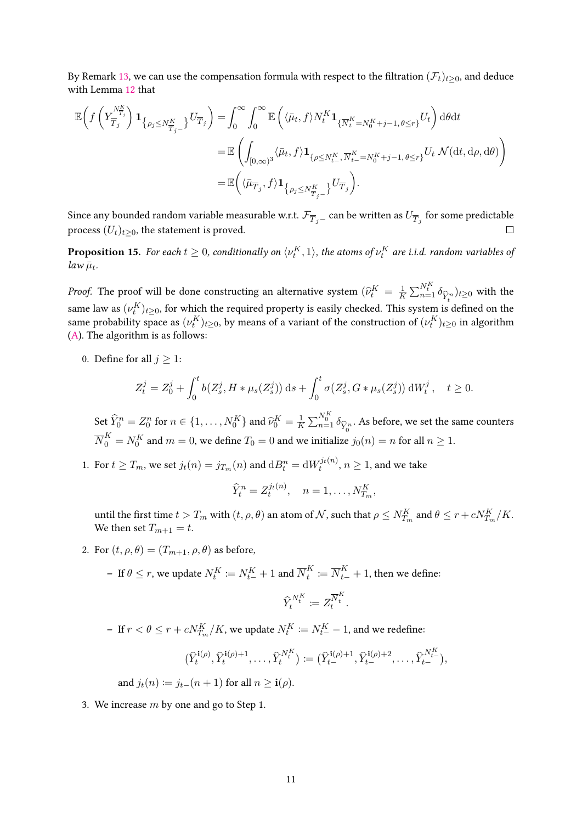By Remark [13,](#page-9-0) we can use the compensation formula with respect to the filtration  $(\mathcal{F}_t)_{t>0}$ , and deduce with Lemma [12](#page-7-0) that

$$
\mathbb{E}\left(f\left(Y_{\overline{T}_{j}}^{N_{\overline{T}_{j}}^{K}}\right)\mathbf{1}_{\left\{\rho_{j}\leq N_{\overline{T}_{j}-}^{K}\right\}}U_{\overline{T}_{j}}\right)=\int_{0}^{\infty}\int_{0}^{\infty}\mathbb{E}\left(\langle\bar{\mu}_{t},f\rangle N_{t}^{K}\mathbf{1}_{\{\overline{N}_{t}^{K}=N_{0}^{K}+j-1,\theta\leq r\}}U_{t}\right)\mathrm{d}\theta\mathrm{d}t
$$
\n
$$
=\mathbb{E}\left(\int_{[0,\infty)^{3}}\langle\bar{\mu}_{t},f\rangle\mathbf{1}_{\left\{\rho\leq N_{t-}^{K},\overline{N}_{t-}^{K}=N_{0}^{K}+j-1,\theta\leq r\right\}}U_{t}\;\mathcal{N}(\mathrm{d}t,\mathrm{d}\rho,\mathrm{d}\theta)\right)
$$
\n
$$
=\mathbb{E}\left(\langle\bar{\mu}_{\overline{T}_{j}},f\rangle\mathbf{1}_{\left\{\rho_{j}\leq N_{\overline{T}_{j}-}^{K}\right\}}U_{\overline{T}_{j}}\right).
$$

Since any bounded random variable measurable w.r.t.  $\mathcal{F}_{\overline{T}_j-}$  can be written as  $U_{\overline{T}_j}$  for some predictable process  $(U_t)_{t>0}$ , the statement is proved.

<span id="page-10-0"></span>**Proposition 15.** For each  $t\geq 0$ , conditionally on  $\langle \nu_t^K, 1\rangle$ , the atoms of  $\nu_t^K$  are i.i.d. random variables of  $law \bar{\mu}_t$ .

*Proof.* The proof will be done constructing an alternative system  $(\hat{\nu}_t^K = \frac{1}{K})$  $\frac{1}{K} \sum_{n=1}^{N_t^K} \delta_{\widehat{Y}_t^n}$ same law as  $(\nu_t^K)_{t\geq 0}$ , for which the required property is easily checked. This system is defined on the )*t*≥<sup>0</sup> with the same probability space as  $(\nu^K_t)_{t\geq 0}$ , by means of a variant of the construction of  $(\nu^K_t)_{t\geq 0}$  in algorithm [\(A\)](#page-8-0). The algorithm is as follows:

0. Define for all  $j \geq 1$ :

$$
Z_t^j = Z_0^j + \int_0^t b(Z_s^j, H * \mu_s(Z_s^j)) ds + \int_0^t \sigma(Z_s^j, G * \mu_s(Z_s^j)) dW_t^j, \quad t \ge 0.
$$

Set  $\widehat{Y}_0^n = Z_0^n$  for  $n \in \{1, \ldots, N_0^K\}$  and  $\widehat{\nu}_0^K = \frac{1}{K}$  $\frac{1}{K}\sum_{n=1}^{N_{0}^{K}}\delta_{\widehat{Y}_{n}^{n}}.$  As before, we set the same counters *Y*b*n* 0  $\overline{N}_0^K = N_0^K$  and  $m = 0$ , we define  $T_0 = 0$  and we initialize  $j_0(n) = n$  for all  $n \geq 1$ .

1. For  $t \geq T_m$ , we set  $j_t(n) = j_{T_m}(n)$  and  $\mathrm{d}B_t^n = \mathrm{d}W_t^{j_t(n)}, n \geq 1$ , and we take

$$
\widehat{Y}_t^n = Z_t^{j_t(n)}, \quad n = 1, \dots, N_{T_m}^K,
$$

until the first time  $t > T_m$  with  $(t, \rho, \theta)$  an atom of  $\mathcal{N}$ , such that  $\rho \le N_{T_m}^K$  and  $\theta \le r + c N_{T_m}^K/K$ . We then set  $T_{m+1} = t$ .

2. For  $(t, \rho, \theta) = (T_{m+1}, \rho, \theta)$  as before,

 $\mathbf{p} - \text{ If } \theta \leq r \text{, we update } N_t^K \coloneqq N_{t-}^K + 1 \text{ and } \overline{N}_t^K$  $\overline{N}^K_t \coloneqq \overline{N}^K_{t-} + 1$ , then we define:

$$
\widehat{Y}_t^{N_t^K} \coloneqq Z_t^{\overline{N}_t^K}.
$$

− If  $r < \theta \leq r + cN_{T_m}^K/K$ , we update  $N_t^K \coloneqq N_{t-}^K - 1$ , and we redefine:

$$
(\widehat{Y}_t^{\mathbf{i}(\rho)}, \widehat{Y}_t^{\mathbf{i}(\rho)+1}, \dots, \widehat{Y}_t^{N_t^K}) \coloneqq (\widehat{Y}_t^{\mathbf{i}(\rho)+1}, \widehat{Y}_t^{\mathbf{i}(\rho)+2}, \dots, \widehat{Y}_t^{N_t^K}),
$$

and  $j_t(n) := j_{t-1}(n+1)$  for all  $n > i(\rho)$ .

3. We increase *m* by one and go to Step 1.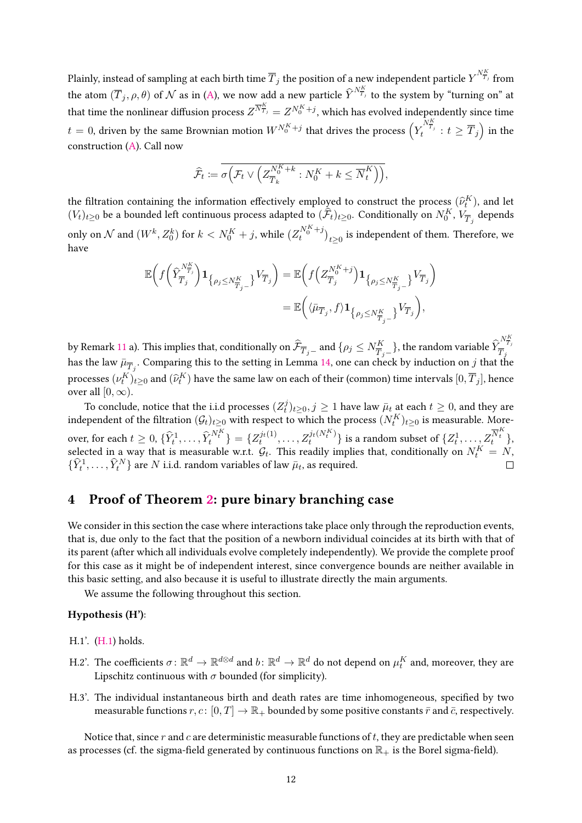Plainly, instead of sampling at each birth time  $\overline{T}_j$  the position of a new independent particle  $Y^{N_{\overline{T}_j}^K}$  from the atom  $(\overline{T}_j, \rho, \theta)$  of  $\mathcal N$  as in [\(A\)](#page-8-0), we now add a new particle  $\widehat{Y}^{N_{\overline{T}_j}^K}$  to the system by "turning on" at that time the nonlinear diffusion process  $Z^{\overline{N}^K_{T_j}} = Z^{N_0^K+j},$  which has evolved independently since time  $t=0,$  driven by the same Brownian motion  $W^{N^K_0+j}$  that drives the process  $\left(Y^{N^K_{\overline{T}_j}}_t:t\geq \overline{T}_j\right)$  in the construction [\(A\)](#page-8-0). Call now

$$
\widehat{\mathcal{F}}_t := \overline{\sigma\Big(\mathcal{F}_t \vee \Big(Z_{\overline{T}_k}^{N^K_0 + k} : N^K_0 + k \leq \overline{N}^K_t\Big)\Big)},
$$

the filtration containing the information effectively employed to construct the process  $(\hat{\nu}_t^K)$ , and let  $(V_t)_{t\geq0}$  be a bounded left continuous process adapted to  $(\widehat{\mathcal{F}}_t)_{t\geq0}.$  Conditionally on  $N^K_0,$   $V_{\overline{T}_j}$  depends only on  $\cal N$  and  $(W^k, Z_0^k)$  for  $k < N_0^K+j,$  while  $(Z^{N_0^K+j}_t)_{t\geq 0}$  is independent of them. Therefore, we have

$$
\mathbb{E}\bigg(f\bigg(\widehat{Y}_{\overline{T}_j}^{N_{\overline{T}_j}^K}\bigg)\mathbf{1}_{\left\{\rho_j\leq N_{\overline{T}_j-}^K\right\}}V_{\overline{T}_j}\bigg)=\mathbb{E}\bigg(f\bigg(Z_{\overline{T}_j}^{N_0^K+j}\bigg)\mathbf{1}_{\left\{\rho_j\leq N_{\overline{T}_j-}^K\right\}}V_{\overline{T}_j}\bigg)
$$

$$
=\mathbb{E}\bigg(\langle\bar{\mu}_{\overline{T}_j},f\rangle\mathbf{1}_{\left\{\rho_j\leq N_{\overline{T}_j-}^K\right\}}V_{\overline{T}_j}\bigg),
$$

by Remark [11](#page-7-1) a). This implies that, conditionally on  $\widehat{\mathcal{F}}_{\overline{T}_j-}$  and  $\{\rho_j\leq N_{\overline{T}_j-}^K\},$  the random variable  $\widehat{Y}$  $N_{\overline{T}_j}^K$ thas the law  $\bar{\mu}_{\overline{T}_j}$ . Comparing this to the setting in Lemma [14,](#page-9-1) one can check by induction on *j* that the processes  $(\nu^K_t)_{t\geq 0}$  and  $(\widehat{\nu}^K_t)$  have the same law on each of their (common) time intervals  $[0,\overline{T}_j]$ , hence over all  $[0, \infty)$ .

To conclude, notice that the i.i.d processes  $(Z_t^j)$  $\bar{y}_{t}^{j}$ <sub>*t*≥0</sub>, *j* ≥ 1 have law  $\bar{\mu}_{t}$  at each  $t$  ≥ 0, and they are independent of the filtration  $(\mathcal{G}_t)_{t\geq 0}$  with respect to which the process  $(N^K_t)_{t\geq 0}$  is measurable. Moreover, for each  $t \geq 0$ ,  $\{\widehat{Y}_t^1, \ldots, \widehat{Y}_t^{N_t^K}\} = \{Z_t^{j_t(1)}, \ldots, Z_t^{j_t(N_t^K)}\}$  $\{z_t^{j_t(N_t^K)}\}$  is a random subset of  $\{Z_t^1, \ldots, Z_t^{\overline{N}_t^K}\}$ selected in a way that is measurable w.r.t.  $\mathcal{G}_t$ . This readily implies that, conditionally on  $N_t^K = N$ ,  $\{\widehat{Y}_t^1, \ldots, \widehat{Y}_t^N\}$  are  $N$  i.i.d. random variables of law  $\bar{\mu}_t$ , as required.

### <span id="page-11-0"></span>4 Proof of Theorem [2:](#page-2-2) pure binary branching case

We consider in this section the case where interactions take place only through the reproduction events, that is, due only to the fact that the position of a newborn individual coincides at its birth with that of its parent (after which all individuals evolve completely independently). We provide the complete proof for this case as it might be of independent interest, since convergence bounds are neither available in this basic setting, and also because it is useful to illustrate directly the main arguments.

<span id="page-11-1"></span>We assume the following throughout this section.

#### Hypothesis (H'):

- H.1'. [\(H.1\)](#page-1-1) holds.
- H.2'. The coefficients  $\sigma\colon\mathbb{R}^d\to\mathbb{R}^{d\otimes d}$  and  $b\colon\mathbb{R}^d\to\mathbb{R}^d$  do not depend on  $\mu_t^K$  and, moreover, they are Lipschitz continuous with  $\sigma$  bounded (for simplicity).
- H.3'. The individual instantaneous birth and death rates are time inhomogeneous, specified by two measurable functions  $r, c: [0, T] \to \mathbb{R}_+$  bounded by some positive constants  $\bar{r}$  and  $\bar{c}$ , respectively.

Notice that, since *r* and *c* are deterministic measurable functions of *t*, they are predictable when seen as processes (cf. the sigma-field generated by continuous functions on  $\mathbb{R}_+$  is the Borel sigma-field).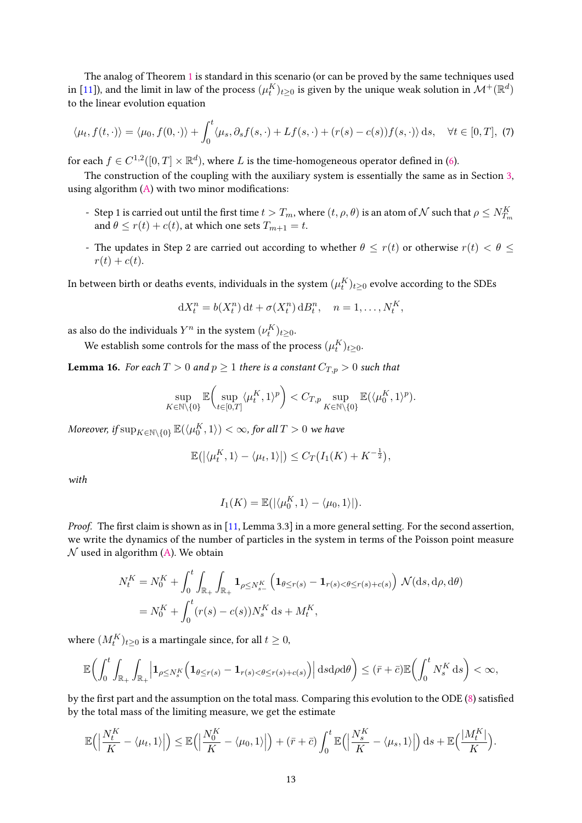The analog of Theorem [1](#page-2-1) is standard in this scenario (or can be proved by the same techniques used in [\[11\]](#page-29-0)), and the limit in law of the process  $(\mu_t^K)_{t\geq 0}$  is given by the unique weak solution in  $\mathcal{M}^+(\mathbb{R}^d)$ to the linear evolution equation

<span id="page-12-0"></span>
$$
\langle \mu_t, f(t, \cdot) \rangle = \langle \mu_0, f(0, \cdot) \rangle + \int_0^t \langle \mu_s, \partial_s f(s, \cdot) + Lf(s, \cdot) + (r(s) - c(s))f(s, \cdot) \rangle ds, \quad \forall t \in [0, T], (7)
$$

for each  $f \in C^{1,2}([0,T] \times \mathbb{R}^d)$ , where  $L$  is the time-homogeneous operator defined in [\(6\)](#page-7-2).

The construction of the coupling with the auxiliary system is essentially the same as in Section [3,](#page-6-0) using algorithm  $(A)$  with two minor modifications:

- Step 1 is carried out until the first time  $t>T_m$ , where  $(t,\rho,\theta)$  is an atom of  ${\cal N}$  such that  $\rho\leq N^K_{T_m}$ and  $\theta \leq r(t) + c(t)$ , at which one sets  $T_{m+1} = t$ .
- The updates in Step 2 are carried out according to whether  $\theta \leq r(t)$  or otherwise  $r(t) < \theta \leq$  $r(t) + c(t)$ .

In between birth or deaths events, individuals in the system  $(\mu_t^K)_{t\geq 0}$  evolve according to the SDEs

$$
dX_t^n = b(X_t^n) dt + \sigma(X_t^n) dB_t^n, \quad n = 1, \dots, N_t^K,
$$

as also do the individuals  $Y^n$  in the system  $(\nu^K_t)_{t\geq 0}$ .

We establish some controls for the mass of the process  $(\mu^K_t)_{t\geq 0}$ .

<span id="page-12-1"></span>**Lemma 16.** For each  $T > 0$  and  $p \ge 1$  there is a constant  $C_{T,p} > 0$  such that

$$
\sup_{K\in\mathbb{N}\backslash\{0\}}\mathbb{E}\biggl(\sup_{t\in[0,T]}\langle\mu_t^K,1\rangle^p\biggr)
$$

 $M$ oreover, if  $\sup_{K \in \mathbb{N} \setminus \{0\}} \mathbb{E}(\langle \mu_0^K, 1 \rangle) < \infty$ , for all  $T > 0$  we have

$$
\mathbb{E}(|\langle \mu_t^K, 1 \rangle - \langle \mu_t, 1 \rangle|) \leq C_T(I_1(K) + K^{-\frac{1}{2}}),
$$

with

$$
I_1(K) = \mathbb{E}\big(\big|\langle \mu_0^K, 1 \rangle - \langle \mu_0, 1 \rangle\big|\big).
$$

*Proof.* The first claim is shown as in [\[11,](#page-29-0) Lemma 3.3] in a more general setting. For the second assertion, we write the dynamics of the number of particles in the system in terms of the Poisson point measure  $N$  used in algorithm [\(A\)](#page-8-0). We obtain

$$
N_t^K = N_0^K + \int_0^t \int_{\mathbb{R}_+} \int_{\mathbb{R}_+} \mathbf{1}_{\rho \le N_{s-}^K} \left( \mathbf{1}_{\theta \le r(s)} - \mathbf{1}_{r(s) < \theta \le r(s) + c(s)} \right) \mathcal{N}(\mathrm{d}s, \mathrm{d}\rho, \mathrm{d}\theta)
$$
\n
$$
= N_0^K + \int_0^t (r(s) - c(s)) N_s^K \, \mathrm{d}s + M_t^K,
$$

where  $(M^K_t)_{t\geq 0}$  is a martingale since, for all  $t\geq 0$ ,

$$
\mathbb{E}\bigg(\int_0^t \int_{\mathbb{R}_+} \int_{\mathbb{R}_+} \Big|\mathbf{1}_{\rho \leq N_s^K}\Big(\mathbf{1}_{\theta \leq r(s)} - \mathbf{1}_{r(s) < \theta \leq r(s)+c(s)}\Big)\Big| \, \mathrm{d} s \mathrm{d} \rho \mathrm{d} \theta\bigg) \leq (\bar{r} + \bar{c}) \mathbb{E}\bigg(\int_0^t N_s^K \, \mathrm{d} s\bigg) < \infty,
$$

by the first part and the assumption on the total mass. Comparing this evolution to the ODE [\(8\)](#page-13-0) satisfied by the total mass of the limiting measure, we get the estimate

$$
\mathbb{E}\Big(\Big|\frac{N^K_t}{K} - \langle \mu_t, 1 \rangle\Big|\Big) \leq \mathbb{E}\Big(\Big|\frac{N^K_0}{K} - \langle \mu_0, 1 \rangle\Big|\Big) + (\bar{r} + \bar{c}) \int_0^t \mathbb{E}\Big(\Big|\frac{N^K_s}{K} - \langle \mu_s, 1 \rangle\Big|\Big) \, \mathrm{d}s + \mathbb{E}\Big(\frac{|M^K_t|}{K}\Big).
$$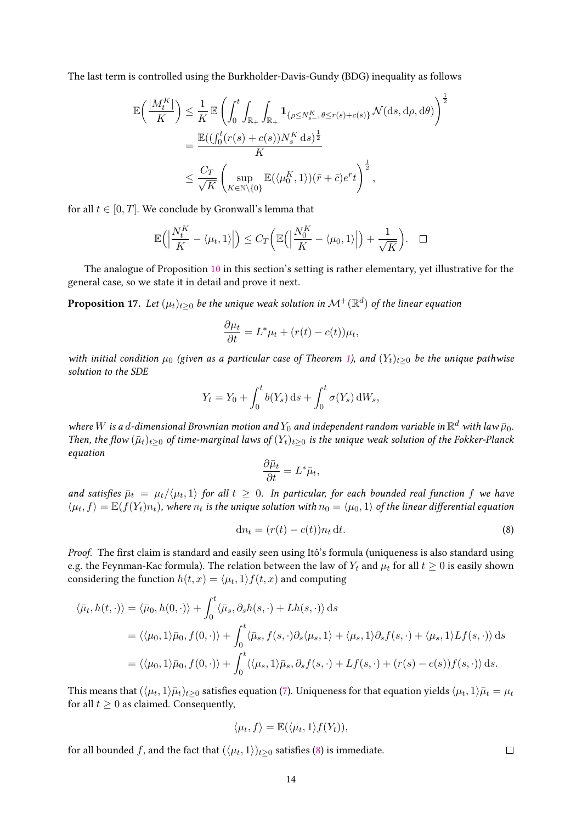The last term is controlled using the Burkholder-Davis-Gundy (BDG) inequality as follows

$$
\mathbb{E}\left(\frac{|M_t^K|}{K}\right) \leq \frac{1}{K} \mathbb{E}\left(\int_0^t \int_{\mathbb{R}_+} \int_{\mathbb{R}_+} \mathbf{1}_{\{\rho \leq N_{s-}^K, \theta \leq r(s) + c(s)\}} \mathcal{N}(\mathrm{d}s, \mathrm{d}\rho, \mathrm{d}\theta)\right)^{\frac{1}{2}}
$$
  
= 
$$
\frac{\mathbb{E}((\int_0^t (r(s) + c(s))N_s^K \mathrm{d}s)^{\frac{1}{2}}}{K}
$$
  

$$
\leq \frac{C_T}{\sqrt{K}} \left(\sup_{K \in \mathbb{N} \setminus{\{0\}}} \mathbb{E}(\langle \mu_0^K, 1 \rangle)(\bar{r} + \bar{c})e^{\bar{r}}t\right)^{\frac{1}{2}},
$$

for all  $t \in [0, T]$ . We conclude by Gronwall's lemma that

$$
\mathbb{E}\Big(\Big|\frac{N_t^K}{K} - \langle \mu_t, 1 \rangle\Big|\Big) \leq C_T \bigg(\mathbb{E}\Big(\Big|\frac{N_0^K}{K} - \langle \mu_0, 1 \rangle\Big|\Big) + \frac{1}{\sqrt{K}}\bigg). \quad \Box
$$

The analogue of Proposition [10](#page-6-1) in this section's setting is rather elementary, yet illustrative for the general case, so we state it in detail and prove it next.

**Proposition 17.** Let  $(\mu_t)_{t\geq 0}$  be the unique weak solution in  $\mathcal{M}^+(\mathbb{R}^d)$  of the linear equation

$$
\frac{\partial \mu_t}{\partial t} = L^* \mu_t + (r(t) - c(t))\mu_t,
$$

with initial condition  $\mu_0$  (given as a particular case of Theorem [1\)](#page-2-1), and  $(Y_t)_{t\geq0}$  be the unique pathwise solution to the SDE

$$
Y_t = Y_0 + \int_0^t b(Y_s) \, \mathrm{d} s + \int_0^t \sigma(Y_s) \, \mathrm{d} W_s,
$$

where  $W$  is a  $d$ -dimensional Brownian motion and  $Y_0$  and independent random variable in  $\mathbb{R}^d$  with law  $\bar{\mu}_0$ . Then, the flow ( $\bar{\mu}_t$ )<sub>t</sub>>0 of time-marginal laws of ( $Y_t$ )<sub>t>0</sub> is the unique weak solution of the Fokker-Planck equation

$$
\frac{\partial \bar{\mu}_t}{\partial t} = L^* \bar{\mu}_t,
$$

and satisfies  $\bar{\mu}_t = \mu_t/\langle\mu_t,1\rangle$  for all  $t\,\geq\, 0$ . In particular, for each bounded real function  $f$  we have  $\langle \mu_t, f \rangle = \mathbb{E}(f(Y_t)n_t)$ , where  $n_t$  is the unique solution with  $n_0 = \langle \mu_0, 1 \rangle$  of the linear differential equation

<span id="page-13-0"></span>
$$
\mathrm{d}n_t = (r(t) - c(t))n_t \,\mathrm{d}t. \tag{8}
$$

Proof. The first claim is standard and easily seen using Itô's formula (uniqueness is also standard using e.g. the Feynman-Kac formula). The relation between the law of  $Y_t$  and  $\mu_t$  for all  $t \geq 0$  is easily shown considering the function  $h(t, x) = \langle \mu_t, 1 \rangle f(t, x)$  and computing

$$
\langle \bar{\mu}_t, h(t, \cdot) \rangle = \langle \bar{\mu}_0, h(0, \cdot) \rangle + \int_0^t \langle \bar{\mu}_s, \partial_s h(s, \cdot) + Lh(s, \cdot) \rangle ds
$$
  
\n
$$
= \langle \langle \mu_0, 1 \rangle \bar{\mu}_0, f(0, \cdot) \rangle + \int_0^t \langle \bar{\mu}_s, f(s, \cdot) \partial_s \langle \mu_s, 1 \rangle + \langle \mu_s, 1 \rangle \partial_s f(s, \cdot) + \langle \mu_s, 1 \rangle Lf(s, \cdot) \rangle ds
$$
  
\n
$$
= \langle \langle \mu_0, 1 \rangle \bar{\mu}_0, f(0, \cdot) \rangle + \int_0^t \langle \langle \mu_s, 1 \rangle \bar{\mu}_s, \partial_s f(s, \cdot) + Lf(s, \cdot) + (r(s) - c(s))f(s, \cdot) \rangle ds.
$$

This means that  $(\langle\mu_t,1\rangle\bar\mu_t)_{t\geq 0}$  satisfies equation [\(7\)](#page-12-0). Uniqueness for that equation yields  $\langle\mu_t,1\rangle\bar\mu_t=\mu_t$ for all  $t > 0$  as claimed. Consequently,

$$
\langle \mu_t, f \rangle = \mathbb{E}(\langle \mu_t, 1 \rangle f(Y_t)),
$$

for all bounded  $f$ , and the fact that  $(\langle \mu_t, 1 \rangle)_{t \geq 0}$  satisfies [\(8\)](#page-13-0) is immediate.

 $\Box$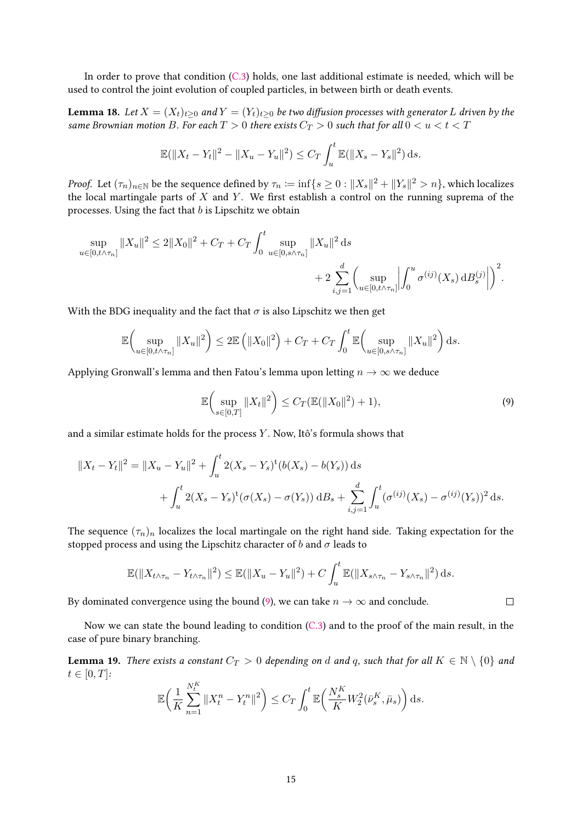In order to prove that condition [\(C.3\)](#page-4-3) holds, one last additional estimate is needed, which will be used to control the joint evolution of coupled particles, in between birth or death events.

<span id="page-14-1"></span>**Lemma 18.** Let  $X = (X_t)_{t>0}$  and  $Y = (Y_t)_{t>0}$  be two diffusion processes with generator L driven by the same Brownian motion *B*. For each  $T > 0$  there exists  $C_T > 0$  such that for all  $0 < u < t < T$ 

$$
\mathbb{E}(\|X_t - Y_t\|^2 - \|X_u - Y_u\|^2) \le C_T \int_u^t \mathbb{E}(\|X_s - Y_s\|^2) \, ds.
$$

*Proof.* Let  $(\tau_n)_{n\in\mathbb{N}}$  be the sequence defined by  $\tau_n\coloneqq\inf\{s\geq 0:\|X_s\|^2+\|Y_s\|^2>n\},$  which localizes the local martingale parts of  $X$  and  $Y$ . We first establish a control on the running suprema of the processes. Using the fact that *b* is Lipschitz we obtain

$$
\sup_{u \in [0, t \wedge \tau_n]} \|X_u\|^2 \le 2\|X_0\|^2 + C_T + C_T \int_0^t \sup_{u \in [0, s \wedge \tau_n]} \|X_u\|^2 ds + 2 \sum_{i,j=1}^d \left( \sup_{u \in [0, t \wedge \tau_n]} \left| \int_0^u \sigma^{(ij)}(X_s) dB_s^{(j)} \right| \right)^2.
$$

With the BDG inequality and the fact that  $\sigma$  is also Lipschitz we then get

$$
\mathbb{E}\bigg(\sup_{u\in[0,t\wedge\tau_n]}||X_u||^2\bigg)\leq 2\mathbb{E}\left(||X_0||^2\right)+C_T+C_T\int_0^t\mathbb{E}\bigg(\sup_{u\in[0,s\wedge\tau_n]}||X_u||^2\bigg)\,\mathrm{d}s.
$$

Applying Gronwall's lemma and then Fatou's lemma upon letting  $n \to \infty$  we deduce

$$
\mathbb{E}\left(\sup_{s\in[0,T]}\|X_t\|^2\right)\leq C_T(\mathbb{E}(\|X_0\|^2)+1),\tag{9}
$$

<span id="page-14-0"></span> $\Box$ 

and a similar estimate holds for the process *Y* . Now, Itô's formula shows that

$$
||X_t - Y_t||^2 = ||X_u - Y_u||^2 + \int_u^t 2(X_s - Y_s)^t (b(X_s) - b(Y_s)) ds
$$
  
+ 
$$
\int_u^t 2(X_s - Y_s)^t (\sigma(X_s) - \sigma(Y_s)) dB_s + \sum_{i,j=1}^d \int_u^t (\sigma^{(ij)}(X_s) - \sigma^{(ij)}(Y_s))^2 ds.
$$

The sequence  $(\tau_n)_n$  localizes the local martingale on the right hand side. Taking expectation for the stopped process and using the Lipschitz character of *b* and  $\sigma$  leads to

$$
\mathbb{E}(\|X_{t\wedge\tau_{n}} - Y_{t\wedge\tau_{n}}\|^{2}) \leq \mathbb{E}(\|X_{u} - Y_{u}\|^{2}) + C \int_{u}^{t} \mathbb{E}(\|X_{s\wedge\tau_{n}} - Y_{s\wedge\tau_{n}}\|^{2}) ds.
$$

By dominated convergence using the bound [\(9\)](#page-14-0), we can take  $n \to \infty$  and conclude.

Now we can state the bound leading to condition [\(C.3\)](#page-4-3) and to the proof of the main result, in the case of pure binary branching.

<span id="page-14-2"></span>**Lemma 19.** There exists a constant  $C_T > 0$  depending on *d* and *q*, such that for all  $K \in \mathbb{N} \setminus \{0\}$  and  $t \in [0, T]$ :

$$
\mathbb{E}\bigg(\frac{1}{K}\sum_{n=1}^{N_t^K} \|X_t^n - Y_t^n\|^2\bigg) \le C_T \int_0^t \mathbb{E}\bigg(\frac{N_s^K}{K}W_2^2(\bar{\nu}_s^K, \bar{\mu}_s)\bigg) ds.
$$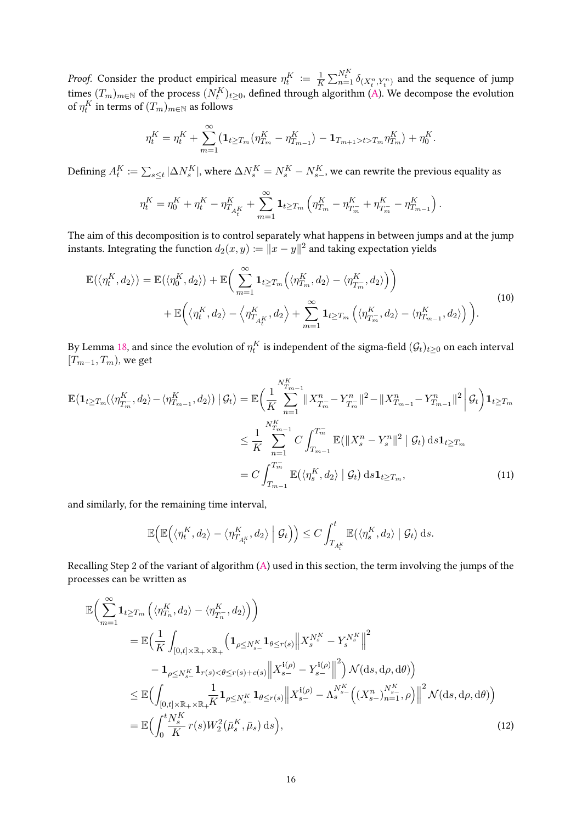*Proof.* Consider the product empirical measure  $\eta^K_t \coloneqq \frac{1}{K}$  $\frac{1}{K} \sum_{n=1}^{N^K_t} \delta_{(X^n_t, Y^n_t)}$  and the sequence of jump times  $(T_m)_{m\in\mathbb{N}}$  of the process  $(N^K_t)_{t\geq 0}$ , defined through algorithm [\(A\)](#page-8-0). We decompose the evolution of  $\eta^K_t$  in terms of  $(T_m)_{m\in\mathbb{N}}$  as follows

$$
\eta_t^K = \eta_t^K + \sum_{m=1}^{\infty} \left( \mathbf{1}_{t \geq T_m} \left( \eta_{T_m}^K - \eta_{T_{m-1}}^K \right) - \mathbf{1}_{T_{m+1} > t > T_m} \eta_{T_m}^K \right) + \eta_0^K.
$$

Defining  $A^K_t\coloneqq\sum_{s\leq t}|\Delta N^K_s|$ , where  $\Delta N^K_s=N^K_s-N^K_{s-}$ , we can rewrite the previous equality as

$$
\eta_t^K = \eta_0^K + \eta_t^K - \eta_{T_{A_t^K}}^K + \sum_{m=1}^{\infty} \mathbf{1}_{t \geq T_m} \left( \eta_{T_m}^K - \eta_{T_m}^K + \eta_{T_m}^K - \eta_{T_{m-1}}^K \right).
$$

The aim of this decomposition is to control separately what happens in between jumps and at the jump instants. Integrating the function  $d_2(x,y) \coloneqq \|x-y\|^2$  and taking expectation yields

<span id="page-15-0"></span>
$$
\mathbb{E}(\langle \eta_t^K, d_2 \rangle) = \mathbb{E}(\langle \eta_0^K, d_2 \rangle) + \mathbb{E}\bigg(\sum_{m=1}^{\infty} \mathbf{1}_{t \ge T_m} \Big(\langle \eta_{T_m}^K, d_2 \rangle - \langle \eta_{T_m}^K, d_2 \rangle \Big) \bigg) \n+ \mathbb{E}\bigg(\langle \eta_t^K, d_2 \rangle - \langle \eta_{T_{A_t^K}}^K, d_2 \rangle + \sum_{m=1}^{\infty} \mathbf{1}_{t \ge T_m} \Big(\langle \eta_{T_m}^K, d_2 \rangle - \langle \eta_{T_{m-1}}^K, d_2 \rangle \Big) \bigg).
$$
\n(10)

By Lemma [18,](#page-14-1) and since the evolution of  $\eta^K_t$  is independent of the sigma-field  $(\mathcal{G}_t)_{t\geq 0}$  on each interval  $[T_{m-1}, T_m)$ , we get

$$
\mathbb{E}\left(\mathbf{1}_{t\geq T_{m}}(\langle\eta_{T_{m}}^{K},d_{2}\rangle-\langle\eta_{T_{m-1}}^{K},d_{2}\rangle)\mid\mathcal{G}_{t}\right)=\mathbb{E}\left(\frac{1}{K}\sum_{n=1}^{N_{T_{m-1}}^{K}}\|X_{T_{m}}^{n}-Y_{T_{m}}^{n}\|^{2}-\|X_{T_{m-1}}^{n}-Y_{T_{m-1}}^{n}\|^{2}\right)\mathbf{1}_{t\geq T_{m}}
$$
\n
$$
\leq\frac{1}{K}\sum_{n=1}^{N_{T_{m-1}}^{K}}C\int_{T_{m-1}}^{T_{m}}\mathbb{E}\left(\|X_{s}^{n}-Y_{s}^{n}\|^{2}\mid\mathcal{G}_{t}\right)\mathrm{d}s\mathbf{1}_{t\geq T_{m}}
$$
\n
$$
=C\int_{T_{m-1}}^{T_{m}}\mathbb{E}\left(\langle\eta_{s}^{K},d_{2}\rangle\mid\mathcal{G}_{t}\right)\mathrm{d}s\mathbf{1}_{t\geq T_{m}},\tag{11}
$$

and similarly, for the remaining time interval,

<span id="page-15-2"></span><span id="page-15-1"></span>
$$
\mathbb{E}\Big(\mathbb{E}\Big(\langle \eta_t^K,d_2\rangle-\langle \eta_{T_{A_t^K}}^K,d_2\rangle \Big| \mathcal{G}_t\Big)\Big)\leq C\int_{T_{A_t^K}}^t \mathbb{E}(\langle \eta_s^K,d_2\rangle \Big| \mathcal{G}_t\Big) ds.
$$

Recalling Step 2 of the variant of algorithm [\(A\)](#page-8-0) used in this section, the term involving the jumps of the processes can be written as

$$
\mathbb{E}\Big(\sum_{m=1}^{\infty}\mathbf{1}_{t\geq T_{m}}\left(\langle\eta_{T_{n}}^{K},d_{2}\rangle-\langle\eta_{T_{n}}^{K},d_{2}\rangle\right)\Big) \n= \mathbb{E}\Big(\frac{1}{K}\int_{[0,t]\times\mathbb{R}_{+}\times\mathbb{R}_{+}}\Big(\mathbf{1}_{\rho\leq N_{s-}^{K}}\mathbf{1}_{\theta\leq r(s)}\Big\|X_{s}^{N_{s}^{K}}-Y_{s}^{N_{s}^{K}}\Big\|^{2} \n- \mathbf{1}_{\rho\leq N_{s-}^{K}}\mathbf{1}_{r(s)<\theta\leq r(s)+c(s)}\Big\|X_{s-}^{i(\rho)}-Y_{s-}^{i(\rho)}\Big\|^{2}\Big)\mathcal{N}(ds,d\rho,d\theta)\Big) \n\leq \mathbb{E}\Big(\int_{[0,t]\times\mathbb{R}_{+}\times\mathbb{R}_{+}\overline{K}}\mathbf{1}_{\rho\leq N_{s-}^{K}}\mathbf{1}_{\theta\leq r(s)}\Big\|X_{s-}^{i(\rho)}-\Lambda_{s}^{N_{s-}^{K}}\Big((X_{s-}^{n})_{n=1}^{N_{s-}^{K}},\rho\Big)\Big\|^{2}\mathcal{N}(ds,d\rho,d\theta)\Big) \n= \mathbb{E}\Big(\int_{0}^{t}\frac{N_{s}^{K}}{K}r(s)W_{2}^{2}(\bar{\mu}_{s}^{K},\bar{\mu}_{s})ds\Big),
$$
\n(12)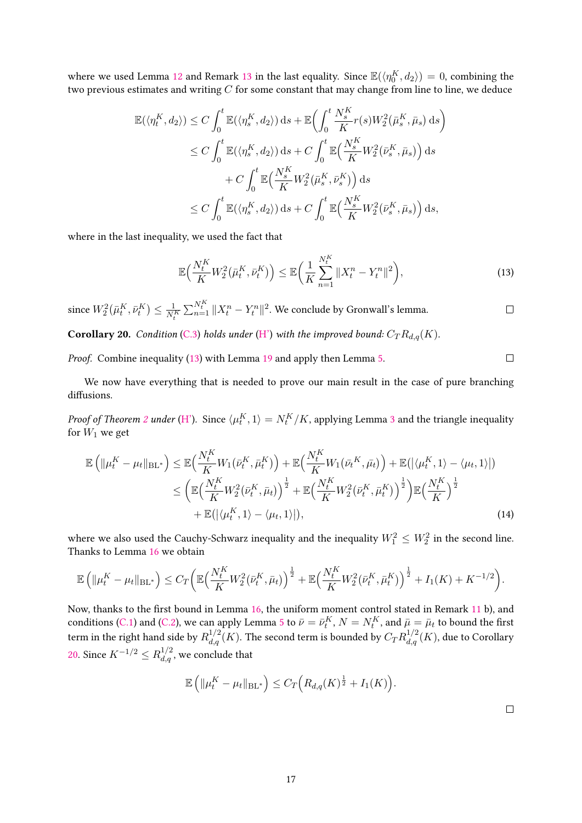where we used Lemma [12](#page-7-0) and Remark [13](#page-9-0) in the last equality. Since  $\mathbb{E}(\langle \eta_0^K, d_2 \rangle) = 0$ , combining the two previous estimates and writing *C* for some constant that may change from line to line, we deduce

$$
\mathbb{E}(\langle \eta_t^K, d_2 \rangle) \leq C \int_0^t \mathbb{E}(\langle \eta_s^K, d_2 \rangle) \, ds + \mathbb{E} \bigg( \int_0^t \frac{N_s^K}{K} r(s) W_2^2(\bar{\mu}_s^K, \bar{\mu}_s) \, ds \bigg) \n\leq C \int_0^t \mathbb{E}(\langle \eta_s^K, d_2 \rangle) \, ds + C \int_0^t \mathbb{E} \Big( \frac{N_s^K}{K} W_2^2(\bar{\nu}_s^K, \bar{\mu}_s) \Big) \, ds \n+ C \int_0^t \mathbb{E} \Big( \frac{N_s^K}{K} W_2^2(\bar{\mu}_s^K, \bar{\nu}_s^K) \Big) \, ds \n\leq C \int_0^t \mathbb{E}(\langle \eta_s^K, d_2 \rangle) \, ds + C \int_0^t \mathbb{E} \Big( \frac{N_s^K}{K} W_2^2(\bar{\nu}_s^K, \bar{\mu}_s) \Big) \, ds,
$$

where in the last inequality, we used the fact that

$$
\mathbb{E}\Big(\frac{N_t^K}{K}W_2^2(\bar{\mu}_t^K, \bar{\nu}_t^K)\Big) \le \mathbb{E}\Big(\frac{1}{K}\sum_{n=1}^{N_t^K} \|X_t^n - Y_t^n\|^2\Big),\tag{13}
$$

since  $W_2^2(\bar{\mu}_t^K, \bar{\nu}_t^K) \leq \frac{1}{N_t^K} \sum_{n=1}^{N_t^K} \|X_t^n-Y_t^n\|^2$ . We conclude by Gronwall's lemma.  $\Box$ 

<span id="page-16-1"></span>**Corollary 20.** Condition [\(C.3\)](#page-4-3) holds under [\(H'\)](#page-11-1) with the improved bound:  $C_T R_{d,q}(K)$ .

Proof. Combine inequality [\(13\)](#page-16-0) with Lemma [19](#page-14-2) and apply then Lemma [5.](#page-4-0)

We now have everything that is needed to prove our main result in the case of pure branching diffusions.

*Proof of Theorem [2](#page-2-2) under* [\(H'\)](#page-11-1). Since  $\langle \mu_t^K, 1 \rangle = N_t^K/K$ , applying Lemma [3](#page-3-1) and the triangle inequality for  $W_1$  we get

$$
\mathbb{E}\left(\|\mu_t^K - \mu_t\|_{BL^*}\right) \leq \mathbb{E}\left(\frac{N_t^K}{K}W_1(\bar{\nu}_t^K, \bar{\mu}_t^K)\right) + \mathbb{E}\left(\frac{N_t^K}{K}W_1(\bar{\nu}_t^K, \bar{\mu}_t)\right) + \mathbb{E}(|\langle \mu_t^K, 1 \rangle - \langle \mu_t, 1 \rangle|)
$$
  

$$
\leq \left(\mathbb{E}\left(\frac{N_t^K}{K}W_2^2(\bar{\nu}_t^K, \bar{\mu}_t)\right)^{\frac{1}{2}} + \mathbb{E}\left(\frac{N_t^K}{K}W_2^2(\bar{\nu}_t^K, \bar{\mu}_t^K)\right)^{\frac{1}{2}}\right)\mathbb{E}\left(\frac{N_t^K}{K}\right)^{\frac{1}{2}}
$$
  

$$
+ \mathbb{E}(|\langle \mu_t^K, 1 \rangle - \langle \mu_t, 1 \rangle|),
$$
 (14)

where we also used the Cauchy-Schwarz inequality and the inequality  $W_1^2 \leq W_2^2$  in the second line. Thanks to Lemma [16](#page-12-1) we obtain

$$
\mathbb{E}\left(\|\mu_t^K - \mu_t\|_{BL^*}\right) \leq C_T \bigg(\mathbb{E}\Big(\frac{N_t^K}{K}W_2^2(\bar{\nu}_t^K, \bar{\mu}_t)\Big)^{\frac{1}{2}} + \mathbb{E}\Big(\frac{N_t^K}{K}W_2^2(\bar{\nu}_t^K, \bar{\mu}_t^K)\Big)^{\frac{1}{2}} + I_1(K) + K^{-1/2}\bigg).
$$

Now, thanks to the first bound in Lemma [16,](#page-12-1) the uniform moment control stated in Remark [11](#page-7-1) b), and conditions [\(C.1\)](#page-4-1) and [\(C.2\)](#page-4-2), we can apply Lemma [5](#page-4-0) to  $\bar{\nu}=\bar{\nu}_t^K$ ,  $N=N_t^K$ , and  $\bar{\mu}=\bar{\mu}_t$  to bound the first term in the right hand side by  $R_{d,q}^{1/2}(K).$  The second term is bounded by  $C_T R_{d,q}^{1/2}(K),$  due to Corollary [20.](#page-16-1) Since  $K^{-1/2}$  ≤  $R_{d,q}^{1/2}$ , we conclude that

$$
\mathbb{E}\left(\|\mu_t^K - \mu_t\|_{\text{BL}^*}\right) \leq C_T\Big(R_{d,q}(K)^{\frac{1}{2}} + I_1(K)\Big).
$$

 $\Box$ 

<span id="page-16-2"></span><span id="page-16-0"></span> $\hfill \square$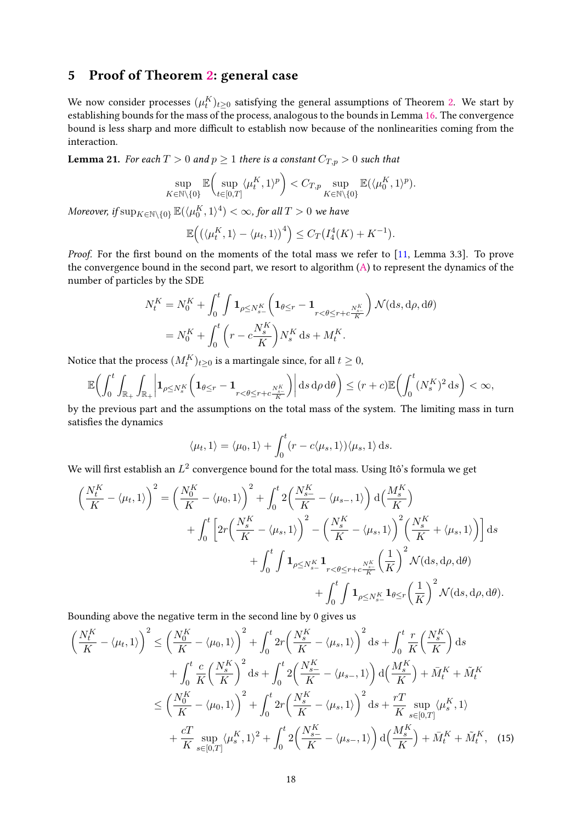## <span id="page-17-0"></span>5 Proof of Theorem [2:](#page-2-2) general case

We now consider processes  $(\mu^K_t)_{t\geq 0}$  satisfying the general assumptions of Theorem [2.](#page-2-2) We start by establishing bounds for the mass of the process, analogous to the bounds in Lemma [16.](#page-12-1) The convergence bound is less sharp and more difficult to establish now because of the nonlinearities coming from the interaction.

<span id="page-17-2"></span>**Lemma 21.** For each  $T > 0$  and  $p \ge 1$  there is a constant  $C_{T,p} > 0$  such that

$$
\sup_{K\in\mathbb{N}\backslash\{0\}}\mathbb{E}\biggl(\sup_{t\in[0,T]}\langle\mu_t^K,1\rangle^p\biggr)
$$

 $M$ oreover, if  $\sup_{K \in \mathbb{N}\setminus \{0\}} \mathbb{E}(\langle \mu_0^K, 1 \rangle^4) < \infty$ , for all  $T > 0$  we have

$$
\mathbb{E}\Big(\big(\langle \mu_t^K, 1 \rangle - \langle \mu_t, 1 \rangle\big)^4\Big) \le C_T \big(I_4^4(K) + K^{-1}\big).
$$

*Proof.* For the first bound on the moments of the total mass we refer to  $[11,$  Lemma 3.3]. To prove the convergence bound in the second part, we resort to algorithm [\(A\)](#page-8-0) to represent the dynamics of the number of particles by the SDE

$$
N_{t}^{K} = N_{0}^{K} + \int_{0}^{t} \int \mathbf{1}_{\rho \leq N_{s-}^{K}} \left( \mathbf{1}_{\theta \leq r} - \mathbf{1}_{r < \theta \leq r+c \frac{N_{s-}^{K}}{K}} \right) \mathcal{N}(\mathrm{d}s, \mathrm{d}\rho, \mathrm{d}\theta)
$$
  
=  $N_{0}^{K} + \int_{0}^{t} \left( r - c \frac{N_{s}^{K}}{K} \right) N_{s}^{K} \mathrm{d}s + M_{t}^{K}.$ 

Notice that the process  $(M^K_t)_{t\geq 0}$  is a martingale since, for all  $t\geq 0,$ 

$$
\mathbb{E}\biggl(\int_0^t\int_{\mathbb{R}_+}\int_{\mathbb{R}_+}\biggl|\textbf{1}_{\rho\leq N^K_s}\biggl(\textbf{1}_{\theta\leq r}-\textbf{1}_{r<\theta\leq r+c\frac{N^K_s}{K}}\biggr)\biggr|\,\mathrm{d} s\,\mathrm{d}\rho\,\mathrm{d}\theta\biggr)\leq (r+c)\mathbb{E}\biggl(\int_0^t(N^K_s)^2\,\mathrm{d} s\biggr)<\infty,
$$

by the previous part and the assumptions on the total mass of the system. The limiting mass in turn satisfies the dynamics

<span id="page-17-1"></span>
$$
\langle \mu_t, 1 \rangle = \langle \mu_0, 1 \rangle + \int_0^t (r - c \langle \mu_s, 1 \rangle) \langle \mu_s, 1 \rangle \, ds.
$$

We will first establish an  $L^2$  convergence bound for the total mass. Using Itô's formula we get

$$
\left(\frac{N_{t}^{K}}{K} - \langle \mu_{t}, 1 \rangle\right)^{2} = \left(\frac{N_{0}^{K}}{K} - \langle \mu_{0}, 1 \rangle\right)^{2} + \int_{0}^{t} 2\left(\frac{N_{s-}^{K}}{K} - \langle \mu_{s-}, 1 \rangle\right) d\left(\frac{M_{s}^{K}}{K}\right) \n+ \int_{0}^{t} \left[2r\left(\frac{N_{s}^{K}}{K} - \langle \mu_{s}, 1 \rangle\right)^{2} - \left(\frac{N_{s}^{K}}{K} - \langle \mu_{s}, 1 \rangle\right)^{2}\left(\frac{N_{s}^{K}}{K} + \langle \mu_{s}, 1 \rangle\right)\right] ds \n+ \int_{0}^{t} \int \mathbf{1}_{\rho \leq N_{s-}^{K}} \mathbf{1}_{r < \theta \leq r+c\frac{N_{s}^{K}}{K}}\left(\frac{1}{K}\right)^{2} \mathcal{N}(ds, d\rho, d\theta) \n+ \int_{0}^{t} \int \mathbf{1}_{\rho \leq N_{s-}^{K}} \mathbf{1}_{\theta \leq r}\left(\frac{1}{K}\right)^{2} \mathcal{N}(ds, d\rho, d\theta).
$$

Bounding above the negative term in the second line by 0 gives us

$$
\left(\frac{N_{t}^{K}}{K} - \langle \mu_{t}, 1 \rangle\right)^{2} \leq \left(\frac{N_{0}^{K}}{K} - \langle \mu_{0}, 1 \rangle\right)^{2} + \int_{0}^{t} 2r \left(\frac{N_{s}^{K}}{K} - \langle \mu_{s}, 1 \rangle\right)^{2} ds + \int_{0}^{t} \frac{r}{K} \left(\frac{N_{s}^{K}}{K}\right) ds \n+ \int_{0}^{t} \frac{c}{K} \left(\frac{N_{s}^{K}}{K}\right)^{2} ds + \int_{0}^{t} 2\left(\frac{N_{s}^{K}}{K} - \langle \mu_{s}, 1 \rangle\right) d\left(\frac{M_{s}^{K}}{K}\right) + \bar{M}_{t}^{K} + \tilde{M}_{t}^{K} \n\leq \left(\frac{N_{0}^{K}}{K} - \langle \mu_{0}, 1 \rangle\right)^{2} + \int_{0}^{t} 2r \left(\frac{N_{s}^{K}}{K} - \langle \mu_{s}, 1 \rangle\right)^{2} ds + \frac{r}{K} \sup_{s \in [0, T]} \langle \mu_{s}^{K}, 1 \rangle \n+ \frac{cT}{K} \sup_{s \in [0, T]} \langle \mu_{s}^{K}, 1 \rangle^{2} + \int_{0}^{t} 2\left(\frac{N_{s}^{K}}{K} - \langle \mu_{s}, 1 \rangle\right) d\left(\frac{M_{s}^{K}}{K}\right) + \bar{M}_{t}^{K} + \tilde{M}_{t}^{K}, \quad (15)
$$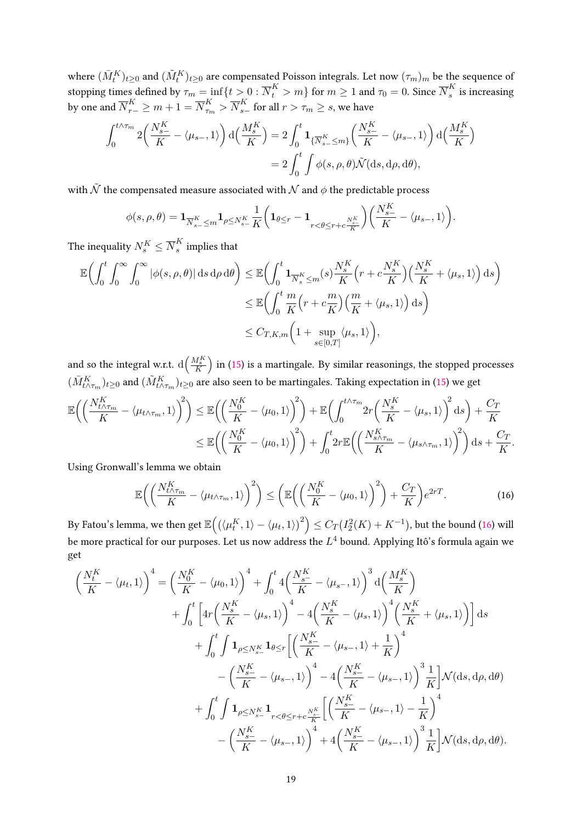where  $(\bar{M}_{t}^{K})_{t\geq0}$  and  $(\tilde{M}_{t}^{K})_{t\geq0}$  are compensated Poisson integrals. Let now  $(\tau_m)_m$  be the sequence of stopping times defined by  $\tau_m=\inf\{t>0:\overline{N}^K_t>m\}$  for  $m\geq 1$  and  $\tau_0=0.$  Since  $\overline{N}^K_s$  $\frac{K}{s}$  is increasing by one and  $\overline{N}^K_{r-}\geq m+1=\overline{N}^K_{\tau_m}>\overline{N}^K_{s-}$  for all  $r>\tau_m\geq s,$  we have

$$
\int_0^{t \wedge \tau_m} 2 \left( \frac{N_{s-}^K}{K} - \langle \mu_{s-}, 1 \rangle \right) d \left( \frac{M_s^K}{K} \right) = 2 \int_0^t \mathbf{1}_{\{\overline{N}_{s-}^K \le m\}} \left( \frac{N_{s-}^K}{K} - \langle \mu_{s-}, 1 \rangle \right) d \left( \frac{M_s^K}{K} \right)
$$
  
= 
$$
2 \int_0^t \int \phi(s, \rho, \theta) \tilde{\mathcal{N}}(\mathrm{d}s, \mathrm{d}\rho, \mathrm{d}\theta),
$$

with  $\tilde{\mathcal{N}}$  the compensated measure associated with  $\mathcal N$  and  $\phi$  the predictable process

$$
\phi(s,\rho,\theta) = \mathbf{1}_{\overline{N}_{s-}^K \leq m} \mathbf{1}_{\rho \leq N_{s-}^K} \frac{1}{K} \left( \mathbf{1}_{\theta \leq r} - \mathbf{1}_{r < \theta \leq r+c\frac{N_{s-}^K}{K}} \right) \left( \frac{N_{s-}^K}{K} - \langle \mu_{s-}, 1 \rangle \right).
$$

The inequality  $N^K_s \le \overline{N}^K_s$  $\frac{K}{s}$  implies that

$$
\mathbb{E}\left(\int_{0}^{t} \int_{0}^{\infty} \int_{0}^{\infty} |\phi(s,\rho,\theta)| \,ds \,d\rho \,d\theta\right) \leq \mathbb{E}\left(\int_{0}^{t} \mathbf{1}_{\overline{N}_{s}^{K} \leq m} (s) \frac{N_{s}^{K}}{K} \left(r + c \frac{N_{s}^{K}}{K}\right) \left(\frac{N_{s}^{K}}{K} + \langle \mu_{s}, 1 \rangle\right) \,ds\right)
$$
  

$$
\leq \mathbb{E}\left(\int_{0}^{t} \frac{m}{K} \left(r + c \frac{m}{K}\right) \left(\frac{m}{K} + \langle \mu_{s}, 1 \rangle\right) \,ds\right)
$$
  

$$
\leq C_{T,K,m} \left(1 + \sup_{s \in [0,T]} \langle \mu_{s}, 1 \rangle\right),
$$

and so the integral w.r.t.  $\text{d}\Big(\frac{M^K_S}{K}\Big)$  in [\(15\)](#page-17-1) is a martingale. By similar reasonings, the stopped processes  $(\bar{M}^K_{t\wedge\tau_m})_{t\geq 0}$  and  $(\tilde{M}^K_{t\wedge\tau_m})_{t\geq 0}$  are also seen to be martingales. Taking expectation in [\(15\)](#page-17-1) we get

$$
\mathbb{E}\left(\left(\frac{N_{t\wedge\tau_m}^K}{K} - \langle \mu_{t\wedge\tau_m}, 1 \rangle\right)^2\right) \leq \mathbb{E}\left(\left(\frac{N_0^K}{K} - \langle \mu_0, 1 \rangle\right)^2\right) + \mathbb{E}\left(\int_0^{t\wedge\tau_m} 2r\left(\frac{N_s^K}{K} - \langle \mu_s, 1 \rangle\right)^2 ds\right) + \frac{C_T}{K} \leq \mathbb{E}\left(\left(\frac{N_0^K}{K} - \langle \mu_0, 1 \rangle\right)^2\right) + \int_0^t 2r \mathbb{E}\left(\left(\frac{N_{s\wedge\tau_m}^K}{K} - \langle \mu_{s\wedge\tau_m}, 1 \rangle\right)^2\right) ds + \frac{C_T}{K}.
$$

Using Gronwall's lemma we obtain

<span id="page-18-0"></span>
$$
\mathbb{E}\left(\left(\frac{N_{t\wedge\tau_m}^K}{K} - \langle \mu_{t\wedge\tau_m}, 1 \rangle\right)^2\right) \le \left(\mathbb{E}\left(\left(\frac{N_0^K}{K} - \langle \mu_0, 1 \rangle\right)^2\right) + \frac{C_T}{K}\right)e^{2rT}.\tag{16}
$$

By Fatou's lemma, we then get  $\mathbb{E}\Big(\big(\langle \mu_t^K, 1\rangle - \langle \mu_t, 1\rangle\big)^2\Big) \leq C_T(I_2^2(K) + K^{-1}),$  but the bound [\(16\)](#page-18-0) will be more practical for our purposes. Let us now address the *L* 4 bound. Applying Itô's formula again we get

$$
\left(\frac{N_{t}^{K}}{K} - \langle \mu_{t}, 1 \rangle\right)^{4} = \left(\frac{N_{0}^{K}}{K} - \langle \mu_{0}, 1 \rangle\right)^{4} + \int_{0}^{t} 4\left(\frac{N_{s}^{K}}{K} - \langle \mu_{s}, 1 \rangle\right)^{3} d\left(\frac{M_{s}^{K}}{K}\right)
$$
  
+ 
$$
\int_{0}^{t} \left[4r\left(\frac{N_{s}^{K}}{K} - \langle \mu_{s}, 1 \rangle\right)^{4} - 4\left(\frac{N_{s}^{K}}{K} - \langle \mu_{s}, 1 \rangle\right)^{4}\left(\frac{N_{s}^{K}}{K} + \langle \mu_{s}, 1 \rangle\right)\right] ds
$$
  
+ 
$$
\int_{0}^{t} \int \mathbf{1}_{\rho \leq N_{s}^{K}} \mathbf{1}_{\theta \leq r} \left[\left(\frac{N_{s-}^{K}}{K} - \langle \mu_{s-}, 1 \rangle + \frac{1}{K}\right)^{4}
$$
  
- 
$$
\left(\frac{N_{s-}^{K}}{K} - \langle \mu_{s-}, 1 \rangle\right)^{4} - 4\left(\frac{N_{s-}^{K}}{K} - \langle \mu_{s-}, 1 \rangle\right)^{3} \frac{1}{K}\right] \mathcal{N}(\mathrm{d}s, \mathrm{d}\rho, \mathrm{d}\theta)
$$
  
+ 
$$
\int_{0}^{t} \int \mathbf{1}_{\rho \leq N_{s-}^{K}} \mathbf{1}_{r < \theta \leq r+c \frac{N_{s}^{K}}{K}} \left[\left(\frac{N_{s-}^{K}}{K} - \langle \mu_{s-}, 1 \rangle - \frac{1}{K}\right)^{4}
$$
  
- 
$$
\left(\frac{N_{s-}^{K}}{K} - \langle \mu_{s-}, 1 \rangle\right)^{4} + 4\left(\frac{N_{s-}^{K}}{K} - \langle \mu_{s-}, 1 \rangle\right)^{3} \frac{1}{K}\right] \mathcal{N}(\mathrm{d}s, \mathrm{d}\rho, \mathrm{d}\theta).
$$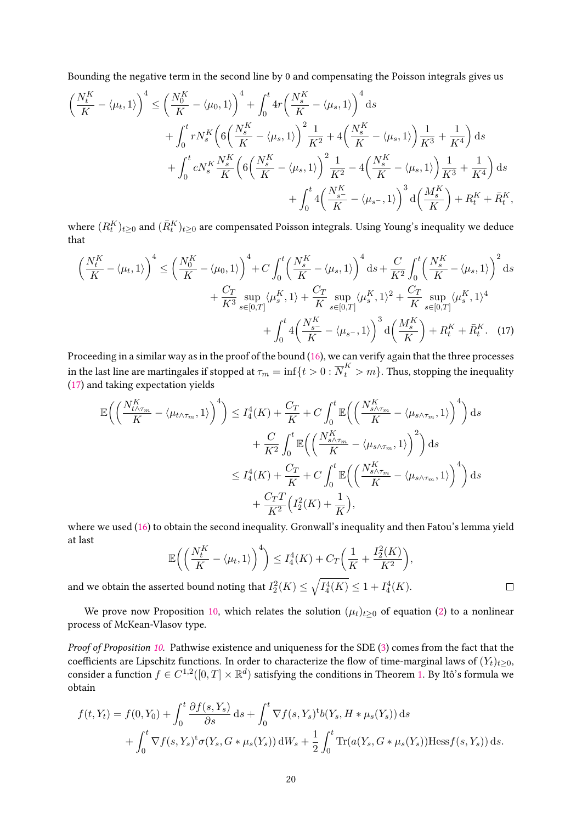Bounding the negative term in the second line by 0 and compensating the Poisson integrals gives us

$$
\left(\frac{N_{t}^{K}}{K} - \langle \mu_{t}, 1 \rangle\right)^{4} \leq \left(\frac{N_{0}^{K}}{K} - \langle \mu_{0}, 1 \rangle\right)^{4} + \int_{0}^{t} 4r \left(\frac{N_{s}^{K}}{K} - \langle \mu_{s}, 1 \rangle\right)^{4} ds \n+ \int_{0}^{t} r N_{s}^{K} \left(6\left(\frac{N_{s}^{K}}{K} - \langle \mu_{s}, 1 \rangle\right)^{2} \frac{1}{K^{2}} + 4\left(\frac{N_{s}^{K}}{K} - \langle \mu_{s}, 1 \rangle\right) \frac{1}{K^{3}} + \frac{1}{K^{4}}\right) ds \n+ \int_{0}^{t} c N_{s}^{K} \frac{N_{s}^{K}}{K} \left(6\left(\frac{N_{s}^{K}}{K} - \langle \mu_{s}, 1 \rangle\right)^{2} \frac{1}{K^{2}} - 4\left(\frac{N_{s}^{K}}{K} - \langle \mu_{s}, 1 \rangle\right) \frac{1}{K^{3}} + \frac{1}{K^{4}}\right) ds \n+ \int_{0}^{t} 4\left(\frac{N_{s}^{K}}{K} - \langle \mu_{s}, 1 \rangle\right)^{3} d\left(\frac{M_{s}^{K}}{K}\right) + R_{t}^{K} + R_{t}^{K},
$$

where  $(R_t^{K})_{t\geq0}$  and  $(\bar{R}_{t}^{K})_{t\geq0}$  are compensated Poisson integrals. Using Young's inequality we deduce that

$$
\left(\frac{N_{t}^{K}}{K} - \langle \mu_{t}, 1 \rangle\right)^{4} \leq \left(\frac{N_{0}^{K}}{K} - \langle \mu_{0}, 1 \rangle\right)^{4} + C \int_{0}^{t} \left(\frac{N_{s}^{K}}{K} - \langle \mu_{s}, 1 \rangle\right)^{4} ds + \frac{C}{K^{2}} \int_{0}^{t} \left(\frac{N_{s}^{K}}{K} - \langle \mu_{s}, 1 \rangle\right)^{2} ds + \frac{C_{T}}{K^{3}} \sup_{s \in [0, T]} \langle \mu_{s}^{K}, 1 \rangle + \frac{C_{T}}{K} \sup_{s \in [0, T]} \langle \mu_{s}^{K}, 1 \rangle^{2} + \frac{C_{T}}{K} \sup_{s \in [0, T]} \langle \mu_{s}^{K}, 1 \rangle^{4} + \int_{0}^{t} 4\left(\frac{N_{s}^{K}}{K} - \langle \mu_{s} -, 1 \rangle\right)^{3} d\left(\frac{M_{s}^{K}}{K}\right) + R_{t}^{K} + \bar{R}_{t}^{K}.
$$
 (17)

Proceeding in a similar way as in the proof of the bound [\(16\)](#page-18-0), we can verify again that the three processes in the last line are martingales if stopped at  $\tau_m=\inf\{t>0:\overline{N}^K_t>m\}.$  Thus, stopping the inequality [\(17\)](#page-19-0) and taking expectation yields

$$
\mathbb{E}\left(\left(\frac{N_{t\wedge\tau_{m}}^{K}}{K} - \langle\mu_{t\wedge\tau_{m}}, 1\rangle\right)^{4}\right) \leq I_{4}^{4}(K) + \frac{C_{T}}{K} + C\int_{0}^{t} \mathbb{E}\left(\left(\frac{N_{s\wedge\tau_{m}}^{K}}{K} - \langle\mu_{s\wedge\tau_{m}}, 1\rangle\right)^{4}\right) ds \n+ \frac{C}{K^{2}} \int_{0}^{t} \mathbb{E}\left(\left(\frac{N_{s\wedge\tau_{m}}^{K}}{K} - \langle\mu_{s\wedge\tau_{m}}, 1\rangle\right)^{2}\right) ds \n\leq I_{4}^{4}(K) + \frac{C_{T}}{K} + C\int_{0}^{t} \mathbb{E}\left(\left(\frac{N_{s\wedge\tau_{m}}^{K}}{K} - \langle\mu_{s\wedge\tau_{m}}, 1\rangle\right)^{4}\right) ds \n+ \frac{C_{T}T}{K^{2}}\left(I_{2}^{2}(K) + \frac{1}{K}\right),
$$

where we used [\(16\)](#page-18-0) to obtain the second inequality. Gronwall's inequality and then Fatou's lemma yield at last

$$
\mathbb{E}\bigg(\bigg(\frac{N_t^K}{K} - \langle \mu_t, 1 \rangle\bigg)^4\bigg) \le I_4^4(K) + C_T\bigg(\frac{1}{K} + \frac{I_2^2(K)}{K^2}\bigg),
$$

<span id="page-19-0"></span> $\Box$ 

and we obtain the asserted bound noting that  $I_2^2(K) \leq \sqrt{I_4^4(K)} \leq 1 + I_4^4(K).$ 

We prove now Proposition [10,](#page-6-1) which relates the solution  $(\mu_t)_{t\geq0}$  of equation [\(2\)](#page-6-3) to a nonlinear process of McKean-Vlasov type.

Proof of Proposition [10.](#page-6-1) Pathwise existence and uniqueness for the SDE [\(3\)](#page-6-2) comes from the fact that the coefficients are Lipschitz functions. In order to characterize the flow of time-marginal laws of  $(Y_t)_{t\geq0}$ , consider a function  $f \in C^{1,2}([0,T] \times \mathbb{R}^d)$  satisfying the conditions in Theorem [1.](#page-2-1) By Itô's formula we obtain

$$
f(t, Y_t) = f(0, Y_0) + \int_0^t \frac{\partial f(s, Y_s)}{\partial s} ds + \int_0^t \nabla f(s, Y_s)^t b(Y_s, H * \mu_s(Y_s)) ds + \int_0^t \nabla f(s, Y_s)^t \sigma(Y_s, G * \mu_s(Y_s)) dW_s + \frac{1}{2} \int_0^t \text{Tr}(a(Y_s, G * \mu_s(Y_s)) \text{Hess} f(s, Y_s)) ds.
$$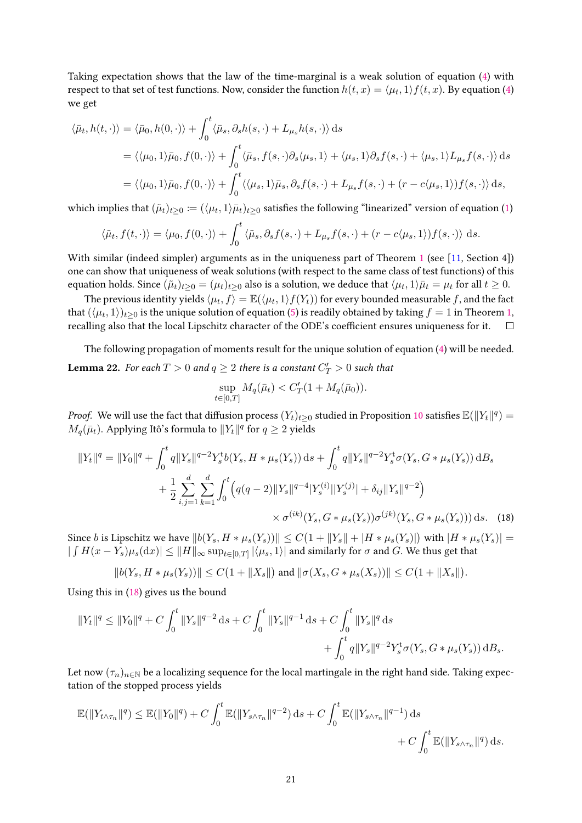Taking expectation shows that the law of the time-marginal is a weak solution of equation [\(4\)](#page-6-4) with respect to that set of test functions. Now, consider the function  $h(t, x) = \langle \mu_t, 1 \rangle f(t, x)$ . By equation [\(4\)](#page-6-4) we get

$$
\langle \bar{\mu}_t, h(t, \cdot) \rangle = \langle \bar{\mu}_0, h(0, \cdot) \rangle + \int_0^t \langle \bar{\mu}_s, \partial_s h(s, \cdot) + L_{\mu_s} h(s, \cdot) \rangle ds
$$
  

$$
= \langle \langle \mu_0, 1 \rangle \bar{\mu}_0, f(0, \cdot) \rangle + \int_0^t \langle \bar{\mu}_s, f(s, \cdot) \partial_s \langle \mu_s, 1 \rangle + \langle \mu_s, 1 \rangle \partial_s f(s, \cdot) + \langle \mu_s, 1 \rangle L_{\mu_s} f(s, \cdot) \rangle ds
$$
  

$$
= \langle \langle \mu_0, 1 \rangle \bar{\mu}_0, f(0, \cdot) \rangle + \int_0^t \langle \langle \mu_s, 1 \rangle \bar{\mu}_s, \partial_s f(s, \cdot) + L_{\mu_s} f(s, \cdot) + (r - c \langle \mu_s, 1 \rangle) f(s, \cdot) \rangle ds,
$$

which implies that  $(\tilde{\mu}_t)_{t\geq 0}\coloneqq(\langle\mu_t,1\rangle\bar{\mu}_t)_{t\geq 0}$  satisfies the following "linearized" version of equation [\(1\)](#page-2-0)

$$
\langle \tilde{\mu}_t, f(t, \cdot) \rangle = \langle \mu_0, f(0, \cdot) \rangle + \int_0^t \langle \tilde{\mu}_s, \partial_s f(s, \cdot) + L_{\mu_s} f(s, \cdot) + (r - c \langle \mu_s, 1 \rangle) f(s, \cdot) \rangle ds.
$$

With similar (indeed simpler) arguments as in the uniqueness part of Theorem [1](#page-2-1) (see [\[11,](#page-29-0) Section 4]) one can show that uniqueness of weak solutions (with respect to the same class of test functions) of this equation holds. Since  $(\tilde{\mu}_t)_{t\geq 0} = (\mu_t)_{t\geq 0}$  also is a solution, we deduce that  $\langle \mu_t, 1 \rangle \bar{\mu}_t = \mu_t$  for all  $t \geq 0$ .

The previous identity yields  $\langle \mu_t, f \rangle = \mathbb{E}(\langle \mu_t, 1 \rangle f(Y_t))$  for every bounded measurable  $f$ , and the fact that  $(\langle \mu_t, 1 \rangle)_{t \geq 0}$  is the unique solution of equation [\(5\)](#page-6-5) is readily obtained by taking  $f = 1$  in Theorem [1,](#page-2-1) recalling also that the local Lipschitz character of the ODE's coefficient ensures uniqueness for it.  $\Box$ 

<span id="page-20-1"></span>The following propagation of moments result for the unique solution of equation [\(4\)](#page-6-4) will be needed. **Lemma 22.** For each  $T > 0$  and  $q \geq 2$  there is a constant  $C_T' > 0$  such that

<span id="page-20-0"></span>
$$
\sup_{t \in [0,T]} M_q(\bar{\mu}_t) < C'_T (1 + M_q(\bar{\mu}_0)).
$$

*Proof.* We will use the fact that diffusion process  $(Y_t)_{t\geq 0}$  studied in Proposition [10](#page-6-1) satisfies  $\mathbb{E}(\|Y_t\|^q)=0$  $M_q(\bar{\mu}_t)$ . Applying Itô's formula to  $\|Y_t\|^q$  for  $q\geq 2$  yields

$$
||Y_t||^q = ||Y_0||^q + \int_0^t q||Y_s||^{q-2} Y_s^t b(Y_s, H * \mu_s(Y_s)) ds + \int_0^t q||Y_s||^{q-2} Y_s^t \sigma(Y_s, G * \mu_s(Y_s)) dB_s
$$
  
+ 
$$
\frac{1}{2} \sum_{i,j=1}^d \sum_{k=1}^d \int_0^t \left( q(q-2) ||Y_s||^{q-4} |Y_s^{(i)}||Y_s^{(j)}| + \delta_{ij} ||Y_s||^{q-2} \right) \times \sigma^{(ik)}(Y_s, G * \mu_s(Y_s)) \sigma^{(jk)}(Y_s, G * \mu_s(Y_s)) ds.
$$
 (18)

Since *b* is Lipschitz we have  $||b(Y_s, H * \mu_s(Y_s))|| \leq C(1 + ||Y_s|| + |H * \mu_s(Y_s)|)$  with  $|H * \mu_s(Y_s)| =$  $|\int H(x - Y_s)\mu_s(\mathrm{d}x)| \leq \|H\|_{\infty} \sup_{t \in [0,T]} |\langle \mu_s, 1 \rangle|$  and similarly for  $\sigma$  and *G*. We thus get that

$$
||b(Y_s, H * \mu_s(Y_s))|| \leq C(1 + ||X_s||)
$$
 and  $||\sigma(X_s, G * \mu_s(X_s))|| \leq C(1 + ||X_s||).$ 

Using this in [\(18\)](#page-20-0) gives us the bound

$$
||Y_t||^q \le ||Y_0||^q + C \int_0^t ||Y_s||^{q-2} ds + C \int_0^t ||Y_s||^{q-1} ds + C \int_0^t ||Y_s||^q ds
$$
  
+ 
$$
\int_0^t q ||Y_s||^{q-2} Y_s^t \sigma(Y_s, G * \mu_s(Y_s)) dB_s.
$$

Let now  $(\tau_n)_{n\in\mathbb{N}}$  be a localizing sequence for the local martingale in the right hand side. Taking expectation of the stopped process yields

$$
\mathbb{E}(\|Y_{t\wedge\tau_{n}}\|^{q}) \leq \mathbb{E}(\|Y_{0}\|^{q}) + C \int_{0}^{t} \mathbb{E}(\|Y_{s\wedge\tau_{n}}\|^{q-2}) ds + C \int_{0}^{t} \mathbb{E}(\|Y_{s\wedge\tau_{n}}\|^{q-1}) ds + C \int_{0}^{t} \mathbb{E}(\|Y_{s\wedge\tau_{n}}\|^{q}) ds.
$$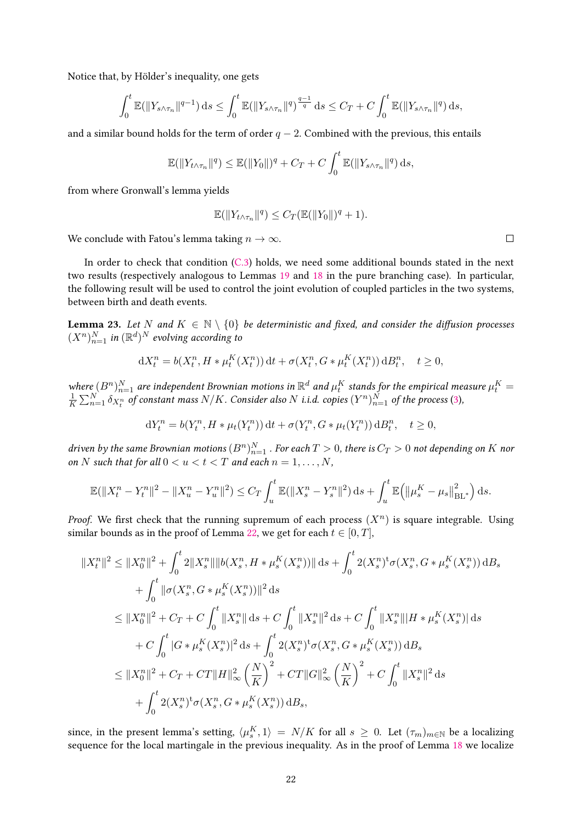Notice that, by Hölder's inequality, one gets

$$
\int_0^t \mathbb{E}(\|Y_{s\wedge\tau_n}\|^{q-1})\,ds \le \int_0^t \mathbb{E}(\|Y_{s\wedge\tau_n}\|^{q})^{\frac{q-1}{q}}\,ds \le C_T + C \int_0^t \mathbb{E}(\|Y_{s\wedge\tau_n}\|^{q})\,ds,
$$

and a similar bound holds for the term of order  $q - 2$ . Combined with the previous, this entails

$$
\mathbb{E}(\|Y_{t\wedge\tau_n}\|^q) \leq \mathbb{E}(\|Y_0\|)^q + C_T + C \int_0^t \mathbb{E}(\|Y_{s\wedge\tau_n}\|^q) ds,
$$

from where Gronwall's lemma yields

$$
\mathbb{E}(\|Y_{t\wedge\tau_n}\|^q) \leq C_T(\mathbb{E}(\|Y_0\|)^q + 1).
$$

We conclude with Fatou's lemma taking  $n \to \infty$ .

In order to check that condition [\(C.3\)](#page-4-3) holds, we need some additional bounds stated in the next two results (respectively analogous to Lemmas [19](#page-14-2) and [18](#page-14-1) in the pure branching case). In particular, the following result will be used to control the joint evolution of coupled particles in the two systems, between birth and death events.

<span id="page-21-0"></span>**Lemma 23.** Let *N* and  $K \in \mathbb{N} \setminus \{0\}$  be deterministic and fixed, and consider the diffusion processes  $(X^n)_{n=1}^N$  in  $(\mathbb{R}^d)^N$  evolving according to

$$
dX_t^n = b(X_t^n, H * \mu_t^K(X_t^n)) dt + \sigma(X_t^n, G * \mu_t^K(X_t^n)) dB_t^n, \quad t \ge 0,
$$

where  $(B^n)_{n=1}^N$  are independent Brownian motions in  $\mathbb{R}^d$  and  $\mu_t^K$  stands for the empirical measure  $\mu_t^K = \frac{1}{N} \sum_{n=1}^N \delta_{X,n}$  of constant mass  $N/K$  Consider also N i i d. conjes  $(N^n)^N$  of the process (3)  $\frac{1}{K}\sum_{n=1}^{N}\delta_{X_t^n}$  of constant mass  $N/K$ . Consider also  $N$  i.i.d. copies  $(Y^n)_{n=1}^N$  of the process [\(3\)](#page-6-2),

$$
dY_t^n = b(Y_t^n, H * \mu_t(Y_t^n)) dt + \sigma(Y_t^n, G * \mu_t(Y_t^n)) dB_t^n, \quad t \ge 0,
$$

driven by the same Brownian motions  $(B^n)_{n=1}^N$  . For each  $T>0$ , there is  $C_T>0$  not depending on  $K$  nor on *N* such that for all  $0 < u < t < T$  and each  $n = 1, ..., N$ ,

$$
\mathbb{E}(\|X_t^n - Y_t^n\|^2 - \|X_u^n - Y_u^n\|^2) \le C_T \int_u^t \mathbb{E}(\|X_s^n - Y_s^n\|^2) \, ds + \int_u^t \mathbb{E}(\|\mu_s^K - \mu_s\|_{BL^*}^2) \, ds.
$$

Proof. We first check that the running supremum of each process  $(X^n)$  is square integrable. Using similar bounds as in the proof of Lemma [22,](#page-20-1) we get for each  $t \in [0, T]$ ,

$$
||X_{t}^{n}||^{2} \leq ||X_{0}^{n}||^{2} + \int_{0}^{t} 2||X_{s}^{n}||||b(X_{s}^{n}, H * \mu_{s}^{K}(X_{s}^{n}))|| ds + \int_{0}^{t} 2(X_{s}^{n})^{t} \sigma(X_{s}^{n}, G * \mu_{s}^{K}(X_{s}^{n})) dB_{s}
$$
  
+ 
$$
\int_{0}^{t} ||\sigma(X_{s}^{n}, G * \mu_{s}^{K}(X_{s}^{n}))||^{2} ds
$$
  

$$
\leq ||X_{0}^{n}||^{2} + C_{T} + C \int_{0}^{t} ||X_{s}^{n}|| ds + C \int_{0}^{t} ||X_{s}^{n}||^{2} ds + C \int_{0}^{t} ||X_{s}^{n}||H * \mu_{s}^{K}(X_{s}^{n})| ds
$$
  
+ 
$$
C \int_{0}^{t} |G * \mu_{s}^{K}(X_{s}^{n})|^{2} ds + \int_{0}^{t} 2(X_{s}^{n})^{t} \sigma(X_{s}^{n}, G * \mu_{s}^{K}(X_{s}^{n})) dB_{s}
$$
  

$$
\leq ||X_{0}^{n}||^{2} + C_{T} + C_{T}||H||_{\infty}^{2} \left(\frac{N}{K}\right)^{2} + C_{T}||G||_{\infty}^{2} \left(\frac{N}{K}\right)^{2} + C \int_{0}^{t} ||X_{s}^{n}||^{2} ds
$$
  
+ 
$$
\int_{0}^{t} 2(X_{s}^{n})^{t} \sigma(X_{s}^{n}, G * \mu_{s}^{K}(X_{s}^{n})) dB_{s},
$$

since, in the present lemma's setting,  $\langle \mu_s^K, 1 \rangle = N/K$  for all  $s \geq 0$ . Let  $(\tau_m)_{m \in \mathbb{N}}$  be a localizing sequence for the local martingale in the previous inequality. As in the proof of Lemma [18](#page-14-1) we localize

 $\Box$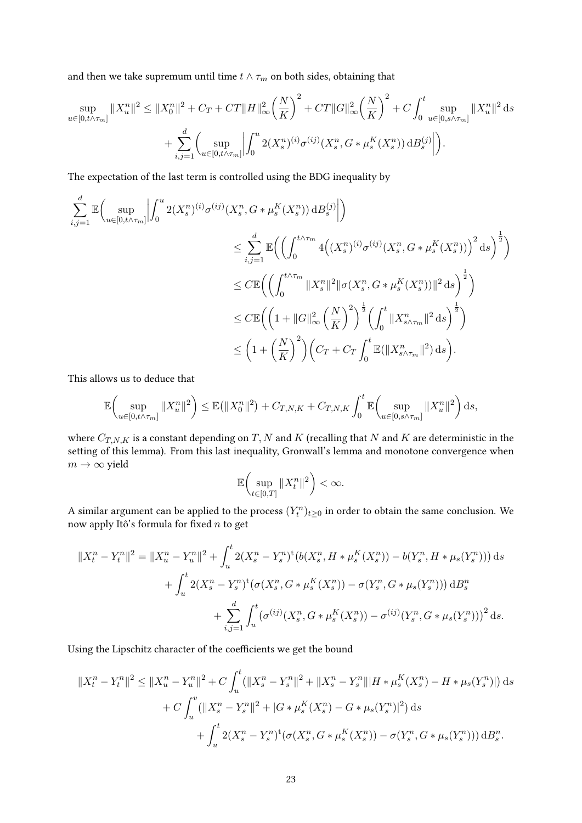and then we take supremum until time  $t \wedge \tau_m$  on both sides, obtaining that

$$
\sup_{u \in [0, t \wedge \tau_m]} \|X_u^n\|^2 \le \|X_0^n\|^2 + C_T + CT\|H\|_{\infty}^2 \left(\frac{N}{K}\right)^2 + CT\|G\|_{\infty}^2 \left(\frac{N}{K}\right)^2 + C \int_0^t \sup_{u \in [0, s \wedge \tau_m]} \|X_u^n\|^2 ds
$$
  
+ 
$$
\sum_{i,j=1}^d \left(\sup_{u \in [0, t \wedge \tau_m]} \left| \int_0^u 2(X_s^n)^{(i)} \sigma^{(ij)}(X_s^n, G * \mu_s^K(X_s^n)) dB_s^{(j)} \right| \right).
$$

The expectation of the last term is controlled using the BDG inequality by

$$
\sum_{i,j=1}^{d} \mathbb{E} \Big( \sup_{u \in [0, t \wedge \tau_m]} \Big| \int_0^u 2(X_s^n)^{(i)} \sigma^{(ij)}(X_s^n, G * \mu_s^K(X_s^n)) dB_s^{(j)} \Big| \Big) \n\leq \sum_{i,j=1}^{d} \mathbb{E} \Big( \Big( \int_0^{t \wedge \tau_m} 4 \Big( (X_s^n)^{(i)} \sigma^{(ij)}(X_s^n, G * \mu_s^K(X_s^n)) \Big)^2 ds \Big)^{\frac{1}{2}} \Big) \n\leq C \mathbb{E} \Big( \Big( \int_0^{t \wedge \tau_m} \|X_s^n\|^2 \|\sigma(X_s^n, G * \mu_s^K(X_s^n))\|^2 ds \Big)^{\frac{1}{2}} \Big) \n\leq C \mathbb{E} \Big( \Big( 1 + \|G\|_{\infty}^2 \Big( \frac{N}{K} \Big)^2 \Big)^{\frac{1}{2}} \Big( \int_0^t \|X_{s \wedge \tau_m}^n\|^2 ds \Big)^{\frac{1}{2}} \Big) \n\leq \Big( 1 + \Big( \frac{N}{K} \Big)^2 \Big) \Big( C_T + C_T \int_0^t \mathbb{E} (\|X_{s \wedge \tau_m}^n\|^2) ds \Big).
$$

This allows us to deduce that

$$
\mathbb{E}\bigg(\sup_{u\in[0,t\wedge\tau_m]}||X_u^n||^2\bigg)\leq \mathbb{E}(|X_0^n||^2)+C_{T,N,K}+C_{T,N,K}\int_0^t \mathbb{E}\bigg(\sup_{u\in[0,s\wedge\tau_m]}||X_u^n||^2\bigg)\,\mathrm{d} s,
$$

where  $C_{T,N,K}$  is a constant depending on  $T, N$  and  $K$  (recalling that  $N$  and  $K$  are deterministic in the setting of this lemma). From this last inequality, Gronwall's lemma and monotone convergence when  $m \to \infty$  yield

$$
\mathbb{E}\bigg(\sup_{t\in[0,T]}\|X_t^n\|^2\bigg)<\infty.
$$

A similar argument can be applied to the process  $(Y_t^n)_{t\geq 0}$  in order to obtain the same conclusion. We now apply Itô's formula for fixed *n* to get

$$
||X_t^n - Y_t^n||^2 = ||X_u^n - Y_u^n||^2 + \int_u^t 2(X_s^n - Y_s^n)^t (b(X_s^n, H * \mu_s^K(X_s^n)) - b(Y_s^n, H * \mu_s(Y_s^n))) ds
$$
  
+ 
$$
\int_u^t 2(X_s^n - Y_s^n)^t (\sigma(X_s^n, G * \mu_s^K(X_s^n)) - \sigma(Y_s^n, G * \mu_s(Y_s^n))) dB_s^n
$$
  
+ 
$$
\sum_{i,j=1}^d \int_u^t (\sigma^{(ij)}(X_s^n, G * \mu_s^K(X_s^n)) - \sigma^{(ij)}(Y_s^n, G * \mu_s(Y_s^n)))^2 ds.
$$

Using the Lipschitz character of the coefficients we get the bound

$$
||X_t^n - Y_t^n||^2 \le ||X_u^n - Y_u^n||^2 + C \int_u^t (||X_s^n - Y_s^n||^2 + ||X_s^n - Y_s^n|| |H * \mu_s^K(X_s^n) - H * \mu_s(Y_s^n)||) ds
$$
  
+ 
$$
C \int_u^v (||X_s^n - Y_s^n||^2 + |G * \mu_s^K(X_s^n) - G * \mu_s(Y_s^n)|^2) ds
$$
  
+ 
$$
\int_u^t 2(X_s^n - Y_s^n)^t (\sigma(X_s^n, G * \mu_s^K(X_s^n)) - \sigma(Y_s^n, G * \mu_s(Y_s^n))) dB_s^n.
$$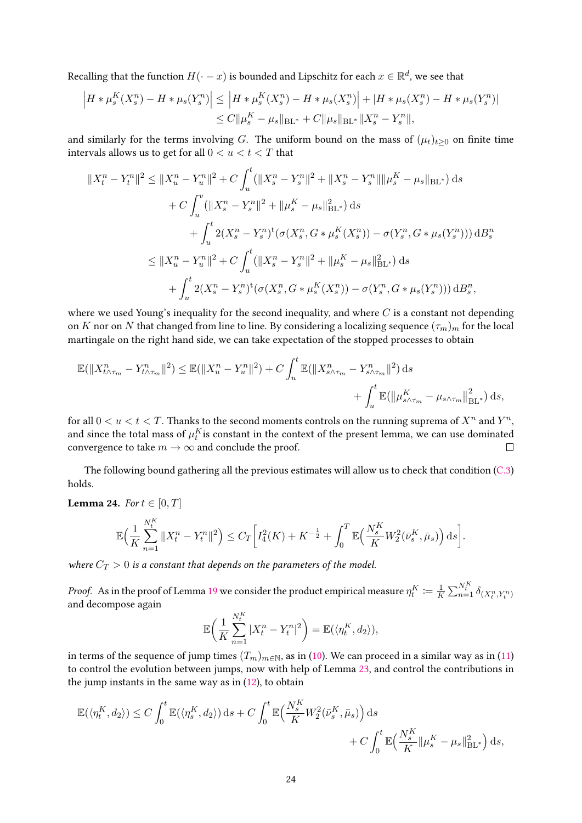Recalling that the function  $H(\cdot-x)$  is bounded and Lipschitz for each  $x\in\mathbb{R}^d,$  we see that

$$
\left| H * \mu_s^K(X_s^n) - H * \mu_s(Y_s^n) \right| \le \left| H * \mu_s^K(X_s^n) - H * \mu_s(X_s^n) \right| + \left| H * \mu_s(X_s^n) - H * \mu_s(Y_s^n) \right|
$$
  

$$
\le C \|\mu_s^K - \mu_s\|_{BL^*} + C \|\mu_s\|_{BL^*} \|X_s^n - Y_s^n\|,
$$

and similarly for the terms involving *G*. The uniform bound on the mass of  $(\mu_t)_{t>0}$  on finite time intervals allows us to get for all  $0 < u < t < T$  that

$$
||X_{t}^{n} - Y_{t}^{n}||^{2} \leq ||X_{u}^{n} - Y_{u}^{n}||^{2} + C \int_{u}^{t} (||X_{s}^{n} - Y_{s}^{n}||^{2} + ||X_{s}^{n} - Y_{s}^{n}|| ||\mu_{s}^{K} - \mu_{s}||_{BL^{*}}) ds
$$
  
+ 
$$
C \int_{u}^{v} (||X_{s}^{n} - Y_{s}^{n}||^{2} + ||\mu_{s}^{K} - \mu_{s}||_{BL^{*}}^{2}) ds
$$
  
+ 
$$
\int_{u}^{t} 2(X_{s}^{n} - Y_{s}^{n})^{t} (\sigma(X_{s}^{n}, G * \mu_{s}^{K}(X_{s}^{n})) - \sigma(Y_{s}^{n}, G * \mu_{s}(Y_{s}^{n}))) dB_{s}^{n}
$$
  

$$
\leq ||X_{u}^{n} - Y_{u}^{n}||^{2} + C \int_{u}^{t} (||X_{s}^{n} - Y_{s}^{n}||^{2} + ||\mu_{s}^{K} - \mu_{s}||_{BL^{*}}^{2}) ds
$$
  
+ 
$$
\int_{u}^{t} 2(X_{s}^{n} - Y_{s}^{n})^{t} (\sigma(X_{s}^{n}, G * \mu_{s}^{K}(X_{s}^{n})) - \sigma(Y_{s}^{n}, G * \mu_{s}(Y_{s}^{n}))) dB_{s}^{n},
$$

where we used Young's inequality for the second inequality, and where *C* is a constant not depending on *K* nor on *N* that changed from line to line. By considering a localizing sequence  $(\tau_m)_m$  for the local martingale on the right hand side, we can take expectation of the stopped processes to obtain

$$
\mathbb{E}(\|X_{t\wedge\tau_{m}}^{n}-Y_{t\wedge\tau_{m}}^{n}\|^{2})\leq \mathbb{E}(\|X_{u}^{n}-Y_{u}^{n}\|^{2})+C\int_{u}^{t}\mathbb{E}(\|X_{s\wedge\tau_{m}}^{n}-Y_{s\wedge\tau_{m}}^{n}\|^{2})\,\mathrm{d}s\\+\int_{u}^{t}\mathbb{E}(\|\mu_{s\wedge\tau_{m}}^{K}-\mu_{s\wedge\tau_{m}}\|_{\mathrm{BL}}^{2})\,\mathrm{d}s,
$$

for all  $0 < u < t < T$ . Thanks to the second moments controls on the running suprema of  $X^n$  and  $Y^n$ , and since the total mass of  $\mu_t^K$ is constant in the context of the present lemma, we can use dominated convergence to take  $m \to \infty$  and conclude the proof.  $\Box$ 

The following bound gathering all the previous estimates will allow us to check that condition [\(C.3\)](#page-4-3) holds.

<span id="page-23-0"></span>**Lemma 24.** For  $t \in [0, T]$ 

$$
\mathbb{E}\Big(\frac{1}{K}\sum_{n=1}^{N^K_t}\|X^n_t-Y^n_t\|^2\Big)\leq C_T\bigg[I^2_4(K)+K^{-\frac{1}{2}}+\int_0^T\mathbb{E}\Big(\frac{N^K_s}{K}W^2_2(\bar{\nu}^K_s,\bar{\mu}_s)\Big)\,\mathrm{d} s\bigg].
$$

where  $C_T > 0$  is a constant that depends on the parameters of the model.

*Proof.* As in the proof of Lemma [19](#page-14-2) we consider the product empirical measure  $\eta^K_t \coloneqq \frac{1}{K}$  $\frac{1}{K} \sum_{n=1}^{N_t^K} \delta_{(X_t^n, Y_t^n)}$ and decompose again

$$
\mathbb{E}\bigg(\frac{1}{K}\sum_{n=1}^{N_t^K}|X_t^n - Y_t^n|^2\bigg) = \mathbb{E}(\langle \eta_t^K, d_2 \rangle),
$$

in terms of the sequence of jump times  $(T_m)_{m \in \mathbb{N}}$ , as in [\(10\)](#page-15-0). We can proceed in a similar way as in [\(11\)](#page-15-1) to control the evolution between jumps, now with help of Lemma [23,](#page-21-0) and control the contributions in the jump instants in the same way as in [\(12\)](#page-15-2), to obtain

$$
\mathbb{E}(\langle \eta_t^K, d_2 \rangle) \le C \int_0^t \mathbb{E}(\langle \eta_s^K, d_2 \rangle) ds + C \int_0^t \mathbb{E}\Big(\frac{N_s^K}{K} W_2^2(\bar{\nu}_s^K, \bar{\mu}_s)\Big) ds + C \int_0^t \mathbb{E}\Big(\frac{N_s^K}{K} \|\mu_s^K - \mu_s\|_{\mathrm{BL}^*}^2\Big) ds,
$$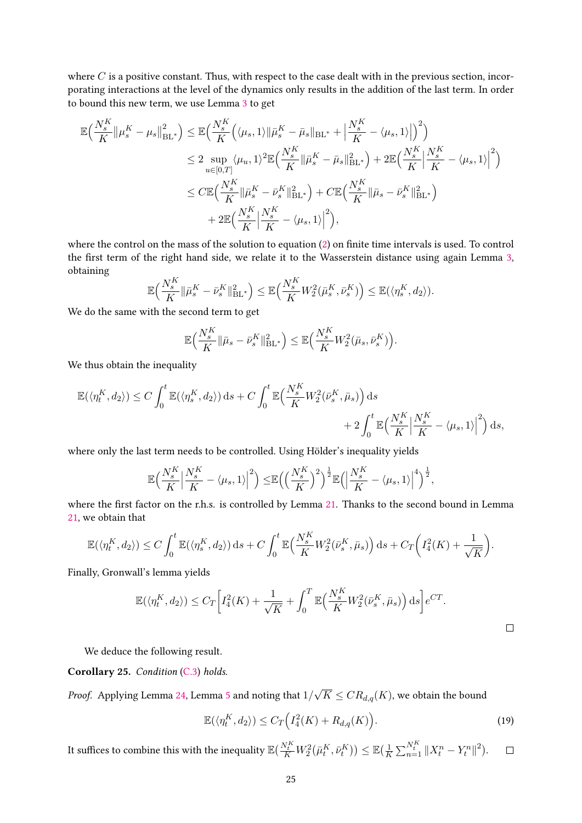where *C* is a positive constant. Thus, with respect to the case dealt with in the previous section, incorporating interactions at the level of the dynamics only results in the addition of the last term. In order to bound this new term, we use Lemma [3](#page-3-1) to get

$$
\mathbb{E}\Big(\frac{N_{s}^{K}}{K}\|\mu_{s}^{K}-\mu_{s}\|_{\mathrm{BL}^{*}}^{2}\Big) \leq \mathbb{E}\Big(\frac{N_{s}^{K}}{K}\Big(\langle\mu_{s},1\rangle\|\bar{\mu}_{s}^{K}-\bar{\mu}_{s}\|_{\mathrm{BL}^{*}}+\Big|\frac{N_{s}^{K}}{K}-\langle\mu_{s},1\rangle\Big|\Big)^{2}\Big) \n\leq 2 \sup_{u\in[0,T]} \langle\mu_{u},1\rangle^{2} \mathbb{E}\Big(\frac{N_{s}^{K}}{K}\|\bar{\mu}_{s}^{K}-\bar{\mu}_{s}\|_{\mathrm{BL}^{*}}^{2}\Big)+2\mathbb{E}\Big(\frac{N_{s}^{K}}{K}\Big|\frac{N_{s}^{K}}{K}-\langle\mu_{s},1\rangle\Big|^{2}\Big) \n\leq C\mathbb{E}\Big(\frac{N_{s}^{K}}{K}\|\bar{\mu}_{s}^{K}-\bar{\nu}_{s}^{K}\|_{\mathrm{BL}^{*}}^{2}\Big)+C\mathbb{E}\Big(\frac{N_{s}^{K}}{K}\|\bar{\mu}_{s}-\bar{\nu}_{s}^{K}\|_{\mathrm{BL}^{*}}^{2}\Big) \n+2\mathbb{E}\Big(\frac{N_{s}^{K}}{K}\Big|\frac{N_{s}^{K}}{K}-\langle\mu_{s},1\rangle\Big|^{2}\Big),
$$

where the control on the mass of the solution to equation  $(2)$  on finite time intervals is used. To control the first term of the right hand side, we relate it to the Wasserstein distance using again Lemma  $3$ , obtaining

$$
\mathbb{E}\Big(\frac{N_s^K}{K}\|\bar{\mu}_s^K - \bar{\nu}_s^K\|_{\mathrm{BL}^*}^2\Big) \leq \mathbb{E}\Big(\frac{N_s^K}{K}W_2^2(\bar{\mu}_s^K, \bar{\nu}_s^K)\Big) \leq \mathbb{E}(\langle \eta_s^K, d_2 \rangle).
$$

We do the same with the second term to get

$$
\mathbb{E}\Big(\frac{N_s^K}{K}\|\bar{\mu}_s-\bar{\nu}_s^K\|_{\mathrm{BL}^*}^2\Big) \leq \mathbb{E}\Big(\frac{N_s^K}{K}W_2^2(\bar{\mu}_s,\bar{\nu}_s^K)\Big).
$$

We thus obtain the inequality

$$
\begin{aligned} \mathbb{E}(\langle \eta_t^K , d_2 \rangle) &\leq C \int_0^t \mathbb{E}(\langle \eta_s^K , d_2 \rangle) \, \mathrm{d} s + C \int_0^t \mathbb{E}\Big( \frac{N_s^K}{K} W_2^2(\bar{\nu}_s^K , \bar{\mu}_s) \Big) \, \mathrm{d} s \\ &+ 2 \int_0^t \mathbb{E}\Big( \frac{N_s^K}{K} \Big| \frac{N_s^K}{K} - \langle \mu_s , 1 \rangle \Big|^2 \Big) \, \mathrm{d} s, \end{aligned}
$$

where only the last term needs to be controlled. Using Hölder's inequality yields

$$
\mathbb{E}\Big(\frac{N_s^K}{K}\Big|\frac{N_s^K}{K}-\langle\mu_s,1\rangle\Big|^2\Big)\leq \mathbb{E}\Big(\Big(\frac{N_s^K}{K}\Big)^2\Big)^{\frac{1}{2}}\mathbb{E}\Big(\Big|\frac{N_s^K}{K}-\langle\mu_s,1\rangle\Big|^4\Big)^{\frac{1}{2}},
$$

where the first factor on the r.h.s. is controlled by Lemma [21.](#page-17-2) Thanks to the second bound in Lemma [21,](#page-17-2) we obtain that

$$
\mathbb{E}(\langle \eta_t^K, d_2 \rangle) \le C \int_0^t \mathbb{E}(\langle \eta_s^K, d_2 \rangle) \, ds + C \int_0^t \mathbb{E}\Big(\frac{N_s^K}{K} W_2^2(\bar{\nu}_s^K, \bar{\mu}_s)\Big) \, ds + C_T \bigg(I_4^2(K) + \frac{1}{\sqrt{K}}\bigg).
$$

Finally, Gronwall's lemma yields

$$
\mathbb{E}(\langle \eta_t^K, d_2 \rangle) \le C_T \Big[ I_4^2(K) + \frac{1}{\sqrt{K}} + \int_0^T \mathbb{E}\Big(\frac{N_s^K}{K} W_2^2(\bar{\nu}_s^K, \bar{\mu}_s)\Big) ds \Big] e^{CT}.
$$

We deduce the following result.

### Corollary 25. Condition [\(C.3\)](#page-4-3) holds.

*Proof.* Applying Lemma [24,](#page-23-0) Lemma [5](#page-4-0) and noting that  $1/\sqrt{K} \leq C R_{d,q}(K)$ , we obtain the bound

<span id="page-24-0"></span>
$$
\mathbb{E}(\langle \eta_t^K, d_2 \rangle) \le C_T \Big( I_4^2(K) + R_{d,q}(K) \Big). \tag{19}
$$

It suffices to combine this with the inequality  $\mathbb{E} \big(\frac{N_t^K}{K}W_2^2\big(\bar{\mu}_t^K,\bar{\nu}_t^K\big)\big) \leq \mathbb{E} \big(\frac{1}{K}$  $\frac{1}{K} \sum_{n=1}^{N_t^K} ||X_t^n - Y_t^n||^2$ .  $\Box$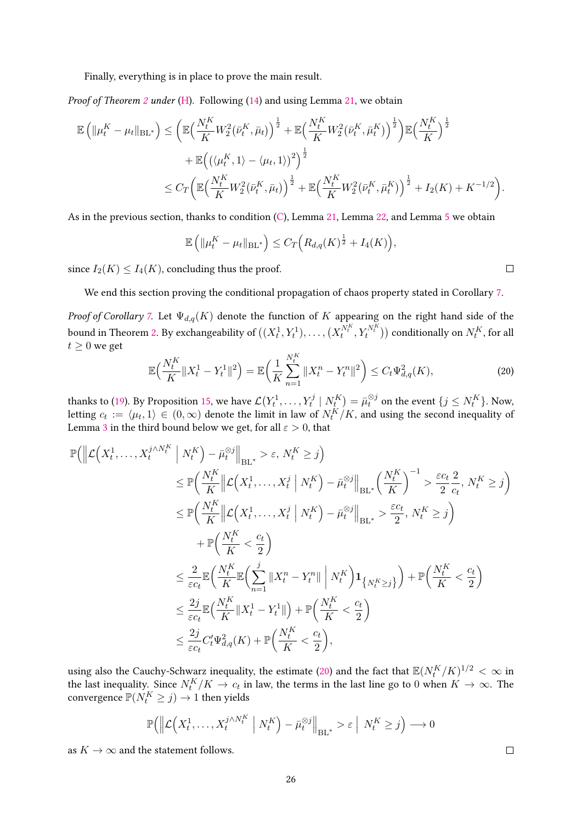Finally, everything is in place to prove the main result.

Proof of Theorem [2](#page-2-2) under [\(H\)](#page-1-0). Following [\(14\)](#page-16-2) and using Lemma [21,](#page-17-2) we obtain

$$
\mathbb{E}\left(\|\mu_t^K - \mu_t\|_{BL^*}\right) \le \left(\mathbb{E}\left(\frac{N_t^K}{K}W_2^2(\bar{\nu}_t^K, \bar{\mu}_t)\right)^{\frac{1}{2}} + \mathbb{E}\left(\frac{N_t^K}{K}W_2^2(\bar{\nu}_t^K, \bar{\mu}_t^K)\right)^{\frac{1}{2}}\right)\mathbb{E}\left(\frac{N_t^K}{K}\right)^{\frac{1}{2}} + \mathbb{E}\left(\left(\langle \mu_t^K, 1 \rangle - \langle \mu_t, 1 \rangle\right)^2\right)^{\frac{1}{2}} \\
\le C_T \left(\mathbb{E}\left(\frac{N_t^K}{K}W_2^2(\bar{\nu}_t^K, \bar{\mu}_t)\right)^{\frac{1}{2}} + \mathbb{E}\left(\frac{N_t^K}{K}W_2^2(\bar{\nu}_t^K, \bar{\mu}_t^K)\right)^{\frac{1}{2}} + I_2(K) + K^{-1/2}\right).
$$

As in the previous section, thanks to condition  $(C)$ , Lemma [21,](#page-17-2) Lemma [22,](#page-20-1) and Lemma [5](#page-4-0) we obtain

$$
\mathbb{E}\left(\|\mu_t^K - \mu_t\|_{\text{BL}^*}\right) \leq C_T\Big(R_{d,q}(K)^{\frac{1}{2}} + I_4(K)\Big),
$$

since  $I_2(K) \leq I_4(K)$ , concluding thus the proof.

We end this section proving the conditional propagation of chaos property stated in Corollary [7.](#page-5-2)

Proof of Corollary [7.](#page-5-2) Let  $\Psi_{d,q}(K)$  denote the function of  $K$  appearing on the right hand side of the bound in Theorem [2.](#page-2-2) By exchangeability of  $((X_t^1,Y_t^1),\ldots,(X_t^{N_t^K},Y_t^{N_t^K}))$  conditionally on  $N_t^K$ , for all  $t \geq 0$  we get

<span id="page-25-0"></span>
$$
\mathbb{E}\Big(\frac{N_t^K}{K}||X_t^1 - Y_t^1||^2\Big) = \mathbb{E}\Big(\frac{1}{K}\sum_{n=1}^{N_t^K}||X_t^n - Y_t^n||^2\Big) \le C_t\Psi_{d,q}^2(K),\tag{20}
$$

thanks to [\(19\)](#page-24-0). By Proposition [15,](#page-10-0) we have  $\mathcal{L}\big(Y_t^1,\ldots,Y_t^j\mid N_t^K\big)=\bar{\mu}_t^{\otimes j}$  on the event  $\{j\leq N_t^K\}.$  Now, letting  $c_t := \langle \mu_t, 1 \rangle \in (0, \infty)$  denote the limit in law of  $N_t^K/K$ , and using the second inequality of Lemma [3](#page-3-1) in the third bound below we get, for all  $\varepsilon > 0$ , that

$$
\mathbb{P}\left(\left\|\mathcal{L}\left(X_t^1,\ldots,X_t^{j\wedge N_t^K}\,\middle|\,N_t^K\right)-\bar{\mu}_t^{\otimes j}\right\|_{\text{BL}^*} > \varepsilon,\,N_t^K \ge j\right) \n\le \mathbb{P}\left(\frac{N_t^K}{K}\left\|\mathcal{L}\left(X_t^1,\ldots,X_t^j\,\middle|\,N_t^K\right)-\bar{\mu}_t^{\otimes j}\right\|_{\text{BL}^*}\left(\frac{N_t^K}{K}\right)^{-1} > \frac{\varepsilon c_t}{2}\frac{2}{c_t},\,N_t^K \ge j\right) \n\le \mathbb{P}\left(\frac{N_t^K}{K}\left\|\mathcal{L}\left(X_t^1,\ldots,X_t^j\,\middle|\,N_t^K\right)-\bar{\mu}_t^{\otimes j}\right\|_{\text{BL}^*} > \frac{\varepsilon c_t}{2},\,N_t^K \ge j\right) \n+ \mathbb{P}\left(\frac{N_t^K}{K} < \frac{c_t}{2}\right) \n\le \frac{2}{\varepsilon c_t} \mathbb{E}\left(\frac{N_t^K}{K}\mathbb{E}\left(\sum_{n=1}^j \|X_t^n-Y_t^n\|\,\middle|\,N_t^K\right)\mathbf{1}_{\{N_t^K \ge j\}}\right) + \mathbb{P}\left(\frac{N_t^K}{K} < \frac{c_t}{2}\right) \n\le \frac{2j}{\varepsilon c_t} \mathbb{E}\left(\frac{N_t^K}{K}\|X_t^1-Y_t^1\|\right) + \mathbb{P}\left(\frac{N_t^K}{K} < \frac{c_t}{2}\right) \n\le \frac{2j}{\varepsilon c_t} C_t' \Psi_{d,q}^2(K) + \mathbb{P}\left(\frac{N_t^K}{K} < \frac{c_t}{2}\right),
$$

using also the Cauchy-Schwarz inequality, the estimate [\(20\)](#page-25-0) and the fact that  $\mathbb{E}(N_t^K/K)^{1/2}<\infty$  in the last inequality. Since  $N^K_t/K \to c_t$  in law, the terms in the last line go to 0 when  $K \to \infty$ . The convergence  $\mathbb{P}(N_t^K \geq j) \rightarrow 1$  then yields

$$
\mathbb{P}\Big(\Big\|\mathcal{L}\Big(X_t^1,\ldots,X_t^{j\wedge N_t^K}\Big|\ N_t^K\Big)-\bar{\mu}_t^{\otimes j}\Big\|_{\text{BL}^*} > \varepsilon\ \Big|\ N_t^K\geq j\Big)\longrightarrow 0
$$

as  $K \to \infty$  and the statement follows.

 $\Box$ 

 $\Box$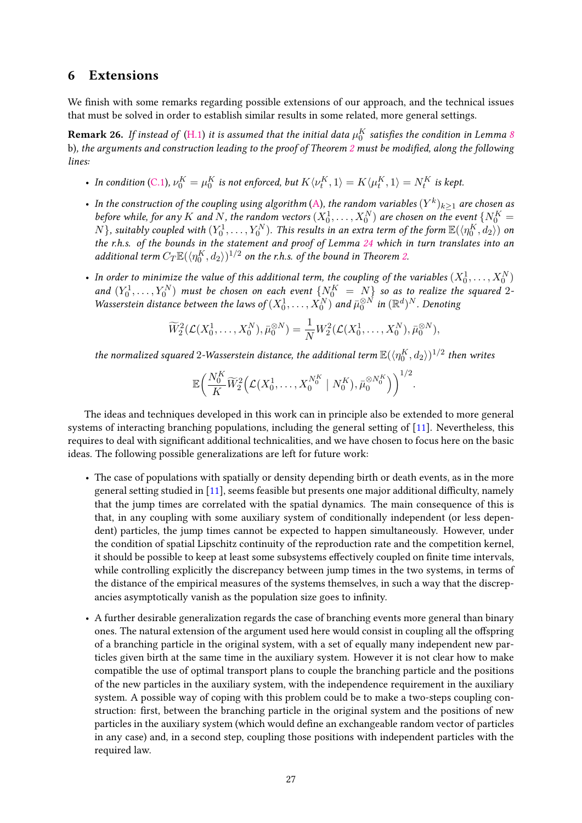### 6 Extensions

We finish with some remarks regarding possible extensions of our approach, and the technical issues that must be solved in order to establish similar results in some related, more general settings.

<span id="page-26-1"></span> ${\bf Remark~26.}$  If instead of  $({\rm H.1})$  it is assumed that the initial data  $\mu^K_0$  satisfies the condition in Lemma  $s$ b), the arguments and construction leading to the proof of Theorem [2](#page-2-2) must be modified, along the following lines:

- In condition [\(C.1\)](#page-4-1),  $\nu_0^K = \mu_0^K$  is not enforced, but  $K\langle \nu_t^K,1\rangle = K\langle \mu_t^K,1\rangle = N_t^K$  is kept.
- In the construction of the coupling using algorithm [\(A\)](#page-8-0), the random variables  $(Y^k)_{k\geq 1}$  are chosen as before while, for any  $K$  and  $N$ , the random vectors  $(X_0^1, \ldots, X_0^N)$  are chosen on the event  $\{N_0^K = \emptyset\}$  $N$ }, suitably coupled with  $(Y_0^1, \ldots, Y_0^N)$ . This results in an extra term of the form  $\mathbb{E}(\langle \eta_0^K, d_2 \rangle)$  on the r.h.s. of the bounds in the statement and proof of Lemma [24](#page-23-0) which in turn translates into an additional term  $C_T \mathbb{E}(\langle \eta_0^K , d_2 \rangle)^{1/2}$  on the r.h.s. of the bound in Theorem [2.](#page-2-2)
- In order to minimize the value of this additional term, the coupling of the variables  $(X^1_0,\ldots,X^N_0)$ and  $(Y_0^1, \ldots, Y_0^N)$  must be chosen on each event  $\{N_0^K = N\}$  so as to realize the squared 2-Wasserstein distance between the laws of  $(X_0^1, \ldots, X_0^N)$  and  $\bar{\mu}_0^{\otimes N}$  in  $(\mathbb{R}^d)^N$ . Denoting

$$
\widetilde{W}_{2}^{2}(\mathcal{L}(X_{0}^{1},...,X_{0}^{N}),\bar{\mu}_{0}^{\otimes N})=\frac{1}{N}W_{2}^{2}(\mathcal{L}(X_{0}^{1},...,X_{0}^{N}),\bar{\mu}_{0}^{\otimes N}),
$$

the normalized squared  $2$ -Wasserstein distance, the additional term  $\mathbb{E}(\langle\eta_0^K,d_2\rangle)^{1/2}$  then writes

$$
\mathbb{E}\bigg(\frac{N^K_0}{K}\widetilde{W}^2_2\Big(\mathcal{L}(X_0^1,\ldots,X_0^{N^K_0} \mid N^K_0),\bar{\mu}_0^{\otimes N^K_0}\Big)\bigg)^{1/2}.
$$

The ideas and techniques developed in this work can in principle also be extended to more general systems of interacting branching populations, including the general setting of [\[11\]](#page-29-0). Nevertheless, this requires to deal with signicant additional technicalities, and we have chosen to focus here on the basic ideas. The following possible generalizations are left for future work:

- The case of populations with spatially or density depending birth or death events, as in the more general setting studied in [\[11\]](#page-29-0), seems feasible but presents one major additional difficulty, namely that the jump times are correlated with the spatial dynamics. The main consequence of this is that, in any coupling with some auxiliary system of conditionally independent (or less dependent) particles, the jump times cannot be expected to happen simultaneously. However, under the condition of spatial Lipschitz continuity of the reproduction rate and the competition kernel, it should be possible to keep at least some subsystems effectively coupled on finite time intervals, while controlling explicitly the discrepancy between jump times in the two systems, in terms of the distance of the empirical measures of the systems themselves, in such a way that the discrepancies asymptotically vanish as the population size goes to infinity.
- <span id="page-26-0"></span>• A further desirable generalization regards the case of branching events more general than binary ones. The natural extension of the argument used here would consist in coupling all the offspring of a branching particle in the original system, with a set of equally many independent new particles given birth at the same time in the auxiliary system. However it is not clear how to make compatible the use of optimal transport plans to couple the branching particle and the positions of the new particles in the auxiliary system, with the independence requirement in the auxiliary system. A possible way of coping with this problem could be to make a two-steps coupling construction: first, between the branching particle in the original system and the positions of new particles in the auxiliary system (which would define an exchangeable random vector of particles in any case) and, in a second step, coupling those positions with independent particles with the required law.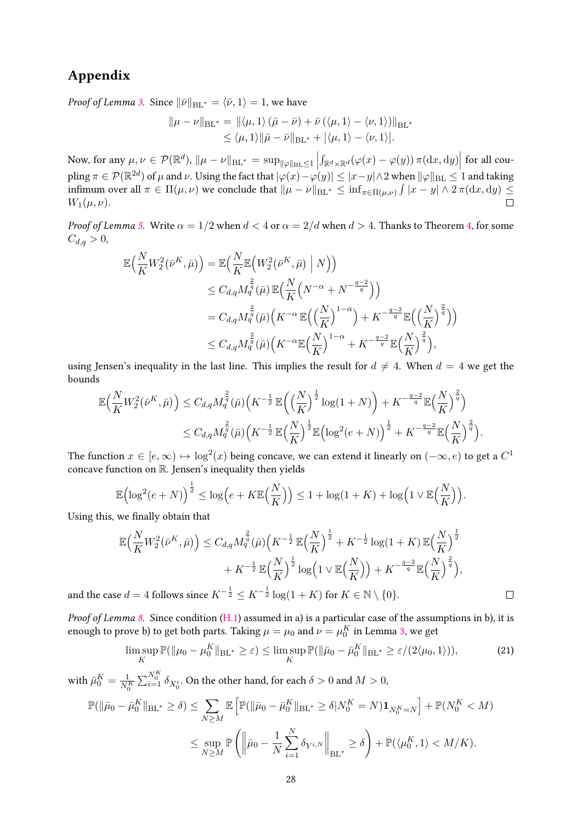## Appendix

*Proof of Lemma [3.](#page-3-1)* Since  $\|\bar{\nu}\|_{BL^*} = \langle \bar{\nu}, 1 \rangle = 1$ , we have

$$
\|\mu - \nu\|_{BL^*} = \|\langle \mu, 1 \rangle (\bar{\mu} - \bar{\nu}) + \bar{\nu} (\langle \mu, 1 \rangle - \langle \nu, 1 \rangle)\|_{BL^*} \leq \langle \mu, 1 \rangle \|\bar{\mu} - \bar{\nu}\|_{BL^*} + |\langle \mu, 1 \rangle - \langle \nu, 1 \rangle|.
$$

Now, for any  $\mu, \nu \in \mathcal{P}(\mathbb{R}^d)$ ,  $\|\mu - \nu\|_{\text{BL}^*} = \sup_{\|\varphi\|_{\text{BL}} \leq 1}$  $\int_{\mathbb{R}^d \times \mathbb{R}^d} (\varphi(x) - \varphi(y)) \, \pi(\text{d}x, \text{d}y) \Big| \text{ for all cou-}$  $\text{pling }\pi\in\mathcal{P}(\mathbb{R}^{2d})\text{ of }\mu\text{ and }\nu. \text{ Using the fact that }|\varphi(x)-\varphi(y)|\leq |x-y|\wedge 2\text{ when }\|\varphi\|_{\text{BL}}\leq 1\text{ and taking }x\in\mathcal{P}(\mathbb{R}^{2d})\text{ of }\mu\text{ and }\nu.$  $\inf$  infimum over all  $\pi \in \Pi(\mu, \nu)$  we conclude that  $\|\mu - \nu\|_{\text{BL}^*} \leq \inf_{\pi \in \Pi(\mu, \nu)} \int |x - y| \wedge 2\pi (\text{d}x, \text{d}y) \leq$ *W*<sub>1</sub>( $\mu, \nu$ ).  $\Box$ 

*Proof of Lemma [5.](#page-4-0)* Write  $\alpha = 1/2$  when  $d < 4$  or  $\alpha = 2/d$  when  $d > 4$ . Thanks to Theorem [4,](#page-3-2) for some  $C_{d,q} > 0,$ 

$$
\mathbb{E}\left(\frac{N}{K}W_2^2(\bar{\nu}^K,\bar{\mu})\right) = \mathbb{E}\left(\frac{N}{K}\mathbb{E}\left(W_2^2(\bar{\nu}^K,\bar{\mu})\bigm|N\right)\right)
$$
  
\n
$$
\leq C_{d,q}M_q^{\frac{2}{q}}(\bar{\mu})\mathbb{E}\left(\frac{N}{K}\left(N^{-\alpha}+N^{-\frac{q-2}{q}}\right)\right)
$$
  
\n
$$
= C_{d,q}M_q^{\frac{2}{q}}(\bar{\mu})\left(K^{-\alpha}\mathbb{E}\left(\left(\frac{N}{K}\right)^{1-\alpha}\right) + K^{-\frac{q-2}{q}}\mathbb{E}\left(\left(\frac{N}{K}\right)^{\frac{2}{q}}\right)\right)
$$
  
\n
$$
\leq C_{d,q}M_q^{\frac{2}{q}}(\bar{\mu})\left(K^{-\alpha}\mathbb{E}\left(\frac{N}{K}\right)^{1-\alpha} + K^{-\frac{q-2}{q}}\mathbb{E}\left(\frac{N}{K}\right)^{\frac{2}{q}}\right),
$$

using Jensen's inequality in the last line. This implies the result for  $d \neq 4$ . When  $d = 4$  we get the bounds

$$
\mathbb{E}\Big(\frac{N}{K}W_2^2(\bar{\nu}^K,\bar{\mu})\Big) \leq C_{d,q}M_q^{\frac{2}{q}}(\bar{\mu})\Big(K^{-\frac{1}{2}}\mathbb{E}\Big(\Big(\frac{N}{K}\Big)^{\frac{1}{2}}\log(1+N)\Big) + K^{-\frac{q-2}{q}}\mathbb{E}\Big(\frac{N}{K}\Big)^{\frac{2}{q}}\Big) \leq C_{d,q}M_q^{\frac{2}{q}}(\bar{\mu})\Big(K^{-\frac{1}{2}}\mathbb{E}\Big(\frac{N}{K}\Big)^{\frac{1}{2}}\mathbb{E}\Big(\log^2(e+N)\Big)^{\frac{1}{2}} + K^{-\frac{q-2}{q}}\mathbb{E}\Big(\frac{N}{K}\Big)^{\frac{2}{q}}\Big).
$$

The function  $x \in [e, \infty) \mapsto \log^2(x)$  being concave, we can extend it linearly on  $(-\infty, e)$  to get a  $C^1$ concave function on R. Jensen's inequality then yields

$$
\mathbb{E}\Big(\log^2(e+N)\Big)^{\frac{1}{2}} \leq \log\Big(e+K\mathbb{E}\Big(\frac{N}{K}\Big)\Big) \leq 1+\log(1+K)+\log\Big(1\vee\mathbb{E}\Big(\frac{N}{K}\Big)\Big).
$$

Using this, we finally obtain that

$$
\mathbb{E}\Big(\frac{N}{K}W_2^2(\bar{\nu}^K,\bar{\mu})\Big) \leq C_{d,q}M_q^{\frac{2}{q}}(\bar{\mu})\Big(K^{-\frac{1}{2}}\mathbb{E}\Big(\frac{N}{K}\Big)^{\frac{1}{2}} + K^{-\frac{1}{2}}\log(1+K)\mathbb{E}\Big(\frac{N}{K}\Big)^{\frac{1}{2}} + K^{-\frac{1}{2}}\mathbb{E}\Big(\frac{N}{K}\Big)^{\frac{1}{2}}\log\Big(1\vee\mathbb{E}\Big(\frac{N}{K}\Big)\Big) + K^{-\frac{q-2}{q}}\mathbb{E}\Big(\frac{N}{K}\Big)^{\frac{2}{q}}\Big),
$$
  
and 4 follows since  $K^{-\frac{1}{2}} \leq K^{-\frac{1}{2}}\log(1+K)$  for  $K \in \mathbb{N} \setminus \{0\}.$ 

and the case  $d = 4$  follows since  $K^{-\frac{1}{2}} \leq K^{-\frac{1}{2}} \log(1+K)$  for  $K \in \mathbb{N} \setminus \{0\}.$ 

Proof of Lemma [8.](#page-5-0) Since condition [\(H.1\)](#page-1-1) assumed in a) is a particular case of the assumptions in b), it is enough to prove b) to get both parts. Taking  $\mu = \mu_0$  and  $\nu = \mu_0^K$  in Lemma [3,](#page-3-1) we get

<span id="page-27-0"></span>
$$
\limsup_{K} \mathbb{P}(\|\mu_0 - \mu_0^K\|_{\text{BL}^*} \ge \varepsilon) \le \limsup_{K} \mathbb{P}(\|\bar{\mu}_0 - \bar{\mu}_0^K\|_{\text{BL}^*} \ge \varepsilon/(2\langle \mu_0, 1 \rangle)),\tag{21}
$$

with  $\bar{\mu}_0^K = \frac{1}{N_0^K} \sum_{i=1}^{N_0^K} \delta_{X_0^i}$ . On the other hand, for each  $\delta > 0$  and  $M > 0$ ,

$$
\mathbb{P}(\|\bar{\mu}_0 - \bar{\mu}_0^K\|_{BL^*} \ge \delta) \le \sum_{N \ge M} \mathbb{E} \left[ \mathbb{P}(\|\bar{\mu}_0 - \bar{\mu}_0^K\|_{BL^*} \ge \delta | N_0^K = N) \mathbf{1}_{N_0^K = N} \right] + \mathbb{P}(N_0^K < M)
$$
  

$$
\le \sup_{N \ge M} \mathbb{P} \left( \left\| \bar{\mu}_0 - \frac{1}{N} \sum_{i=1}^N \delta_{Y^{i,N}} \right\|_{BL^*} \ge \delta \right) + \mathbb{P}(\langle \mu_0^K, 1 \rangle < M/K).
$$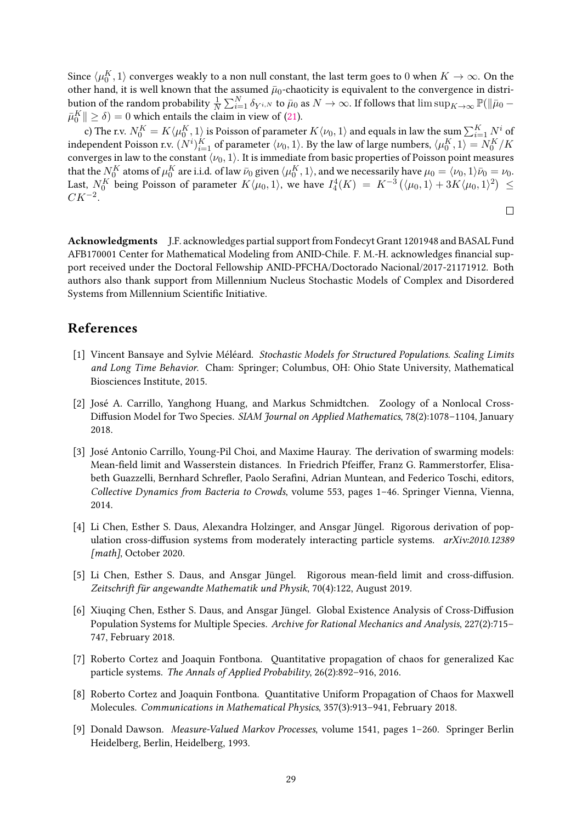Since  $\langle \mu_0^K, 1\rangle$  converges weakly to a non null constant, the last term goes to  $0$  when  $K\to\infty.$  On the other hand, it is well known that the assumed  $\bar{\mu}_0$ -chaoticity is equivalent to the convergence in distribution of the random probability  $\frac{1}{N}\sum_{i=1}^N \delta_{Y^{i,N}}$  to  $\bar{\mu}_0$  as  $N\to\infty$ . If follows that  $\limsup_{K\to\infty} \mathbb{P}(\|\bar{\mu}_0 \bar{\mu}_0^K \Vert \geq \delta) = 0$  which entails the claim in view of [\(21\)](#page-27-0).

c) The r.v.  $N^K_0=K\langle \mu^K_0,1\rangle$  is Poisson of parameter  $K\langle \nu_0,1\rangle$  and equals in law the sum  $\sum_{i=1}^K N^i$  of independent Poisson r.v.  $(N^i)_{i=1}^K$  of parameter  $\langle \nu_0,1\rangle.$  By the law of large numbers,  $\langle \mu_0^K,1\rangle=N_0^K/K$ converges in law to the constant  $\langle \nu_0, 1 \rangle$ . It is immediate from basic properties of Poisson point measures that the  $N^K_0$  atoms of  $\mu^K_0$  are i.i.d. of law  $\bar{\nu}_0$  given  $\langle \mu^K_0,1\rangle,$  and we necessarily have  $\mu_0=\langle \nu_0,1\rangle\bar{\nu}_0=\nu_0.$ Last,  $N^K_{0}$  being Poisson of parameter  $K\langle\mu_0,1\rangle$ , we have  $I_4^4(K)\;=\;K^{-3}\left(\langle\mu_0,1\rangle+3K\langle\mu_0,1\rangle^2\right)\;\leq\;$ *CK*−<sup>2</sup> *.*

 $\Box$ 

Acknowledgments J.F. acknowledges partial support from Fondecyt Grant 1201948 and BASAL Fund AFB170001 Center for Mathematical Modeling from ANID-Chile. F. M.-H. acknowledges financial support received under the Doctoral Fellowship ANID-PFCHA/Doctorado Nacional/2017-21171912. Both authors also thank support from Millennium Nucleus Stochastic Models of Complex and Disordered Systems from Millennium Scientific Initiative.

## References

- <span id="page-28-3"></span>[1] Vincent Bansaye and Sylvie Méléard. Stochastic Models for Structured Populations. Scaling Limits and Long Time Behavior. Cham: Springer; Columbus, OH: Ohio State University, Mathematical Biosciences Institute, 2015.
- <span id="page-28-0"></span>[2] José A. Carrillo, Yanghong Huang, and Markus Schmidtchen. Zoology of a Nonlocal Cross-Diffusion Model for Two Species. SIAM Journal on Applied Mathematics, 78(2):1078-1104, January 2018.
- <span id="page-28-1"></span>[3] José Antonio Carrillo, Young-Pil Choi, and Maxime Hauray. The derivation of swarming models: Mean-field limit and Wasserstein distances. In Friedrich Pfeiffer, Franz G. Rammerstorfer, Elisabeth Guazzelli, Bernhard Schrefler, Paolo Serafini, Adrian Muntean, and Federico Toschi, editors, Collective Dynamics from Bacteria to Crowds, volume 553, pages 1–46. Springer Vienna, Vienna, 2014.
- <span id="page-28-5"></span>[4] Li Chen, Esther S. Daus, Alexandra Holzinger, and Ansgar Jüngel. Rigorous derivation of population cross-diffusion systems from moderately interacting particle systems.  $arXiv:2010.12389$ [math], October 2020.
- <span id="page-28-4"></span>[5] Li Chen, Esther S. Daus, and Ansgar Jüngel. Rigorous mean-field limit and cross-diffusion. Zeitschrift für angewandte Mathematik und Physik, 70(4):122, August 2019.
- <span id="page-28-2"></span>[6] Xiuqing Chen, Esther S. Daus, and Ansgar Jüngel. Global Existence Analysis of Cross-Diffusion Population Systems for Multiple Species. Archive for Rational Mechanics and Analysis, 227(2):715– 747, February 2018.
- <span id="page-28-7"></span>[7] Roberto Cortez and Joaquin Fontbona. Quantitative propagation of chaos for generalized Kac particle systems. The Annals of Applied Probability, 26(2):892–916, 2016.
- <span id="page-28-8"></span>[8] Roberto Cortez and Joaquin Fontbona. Quantitative Uniform Propagation of Chaos for Maxwell Molecules. Communications in Mathematical Physics, 357(3):913–941, February 2018.
- <span id="page-28-6"></span>[9] Donald Dawson. Measure-Valued Markov Processes, volume 1541, pages 1–260. Springer Berlin Heidelberg, Berlin, Heidelberg, 1993.